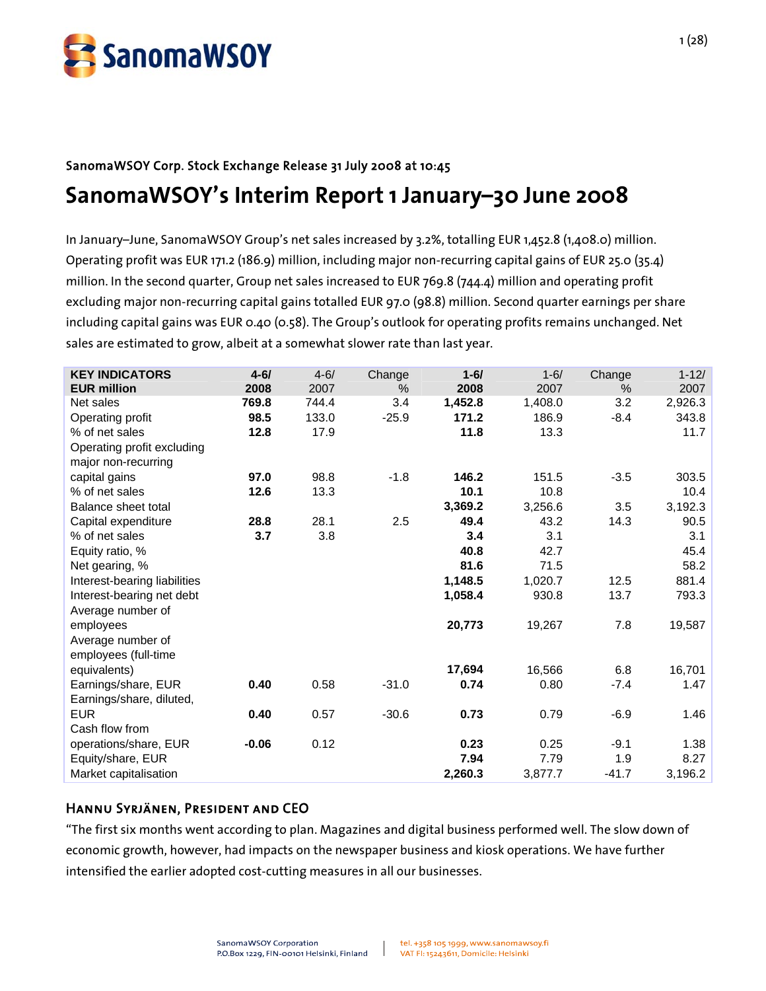

# SanomaWSOY Corp. Stock Exchange Release 31 July 2008 at 10:45 **SanomaWSOY's Interim Report 1 January–30 June 2008**

In January–June, SanomaWSOY Group's net sales increased by 3.2%, totalling EUR 1,452.8 (1,408.0) million. Operating profit was EUR 171.2 (186.9) million, including major non-recurring capital gains of EUR 25.0 (35.4) million. In the second quarter, Group net sales increased to EUR 769.8 (744.4) million and operating profit excluding major non-recurring capital gains totalled EUR 97.0 (98.8) million. Second quarter earnings per share including capital gains was EUR 0.40 (0.58). The Group's outlook for operating profits remains unchanged. Net sales are estimated to grow, albeit at a somewhat slower rate than last year.

| <b>KEY INDICATORS</b>        | $4 - 61$ | $4 - 6/$ | Change  | $1 - 6/$ | $1 - 6/$ | Change  | $1 - 12/$ |
|------------------------------|----------|----------|---------|----------|----------|---------|-----------|
| <b>EUR million</b>           | 2008     | 2007     | $\%$    | 2008     | 2007     | %       | 2007      |
| Net sales                    | 769.8    | 744.4    | 3.4     | 1,452.8  | 1,408.0  | 3.2     | 2,926.3   |
| Operating profit             | 98.5     | 133.0    | $-25.9$ | 171.2    | 186.9    | $-8.4$  | 343.8     |
| % of net sales               | 12.8     | 17.9     |         | 11.8     | 13.3     |         | 11.7      |
| Operating profit excluding   |          |          |         |          |          |         |           |
| major non-recurring          |          |          |         |          |          |         |           |
| capital gains                | 97.0     | 98.8     | $-1.8$  | 146.2    | 151.5    | $-3.5$  | 303.5     |
| % of net sales               | 12.6     | 13.3     |         | 10.1     | 10.8     |         | 10.4      |
| Balance sheet total          |          |          |         | 3,369.2  | 3,256.6  | 3.5     | 3,192.3   |
| Capital expenditure          | 28.8     | 28.1     | 2.5     | 49.4     | 43.2     | 14.3    | 90.5      |
| % of net sales               | 3.7      | 3.8      |         | 3.4      | 3.1      |         | 3.1       |
| Equity ratio, %              |          |          |         | 40.8     | 42.7     |         | 45.4      |
| Net gearing, %               |          |          |         | 81.6     | 71.5     |         | 58.2      |
| Interest-bearing liabilities |          |          |         | 1,148.5  | 1,020.7  | 12.5    | 881.4     |
| Interest-bearing net debt    |          |          |         | 1,058.4  | 930.8    | 13.7    | 793.3     |
| Average number of            |          |          |         |          |          |         |           |
| employees                    |          |          |         | 20,773   | 19,267   | 7.8     | 19,587    |
| Average number of            |          |          |         |          |          |         |           |
| employees (full-time         |          |          |         |          |          |         |           |
| equivalents)                 |          |          |         | 17,694   | 16,566   | 6.8     | 16,701    |
| Earnings/share, EUR          | 0.40     | 0.58     | $-31.0$ | 0.74     | 0.80     | $-7.4$  | 1.47      |
| Earnings/share, diluted,     |          |          |         |          |          |         |           |
| <b>EUR</b>                   | 0.40     | 0.57     | $-30.6$ | 0.73     | 0.79     | $-6.9$  | 1.46      |
| Cash flow from               |          |          |         |          |          |         |           |
| operations/share, EUR        | $-0.06$  | 0.12     |         | 0.23     | 0.25     | $-9.1$  | 1.38      |
| Equity/share, EUR            |          |          |         | 7.94     | 7.79     | 1.9     | 8.27      |
| Market capitalisation        |          |          |         | 2,260.3  | 3,877.7  | $-41.7$ | 3,196.2   |

# Hannu Syrjänen, President and CEO

"The first six months went according to plan. Magazines and digital business performed well. The slow down of economic growth, however, had impacts on the newspaper business and kiosk operations. We have further intensified the earlier adopted cost-cutting measures in all our businesses.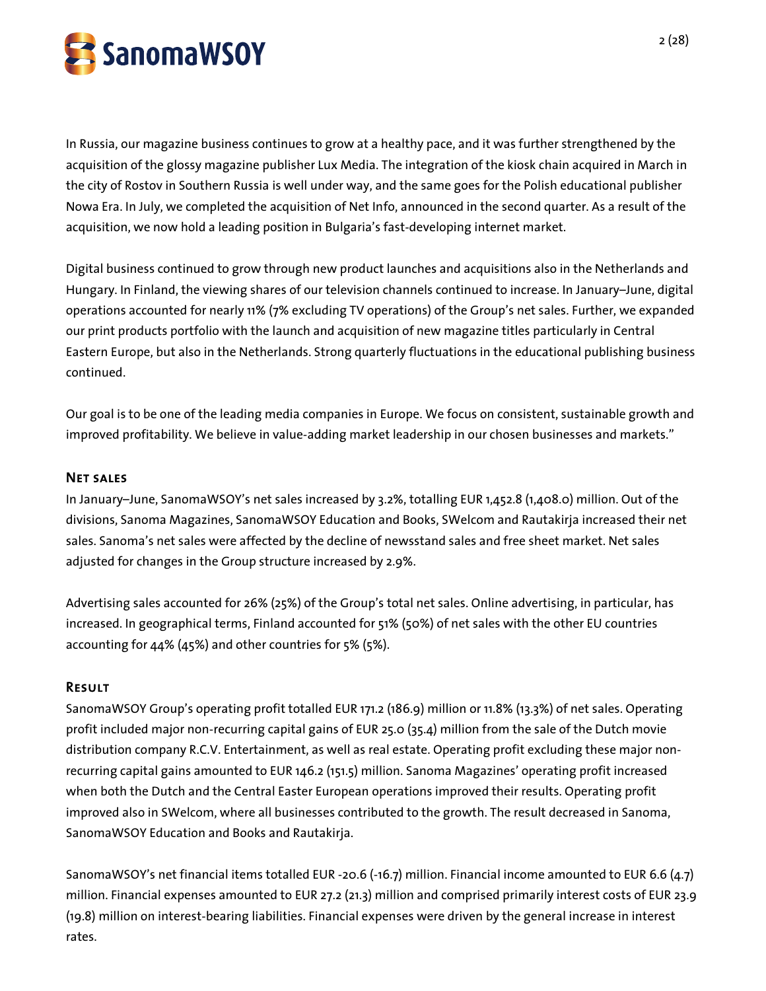

In Russia, our magazine business continues to grow at a healthy pace, and it was further strengthened by the acquisition of the glossy magazine publisher Lux Media. The integration of the kiosk chain acquired in March in the city of Rostov in Southern Russia is well under way, and the same goes for the Polish educational publisher Nowa Era. In July, we completed the acquisition of Net Info, announced in the second quarter. As a result of the acquisition, we now hold a leading position in Bulgaria's fast-developing internet market.

Digital business continued to grow through new product launches and acquisitions also in the Netherlands and Hungary. In Finland, the viewing shares of our television channels continued to increase. In January–June, digital operations accounted for nearly 11% (7% excluding TV operations) of the Group's net sales. Further, we expanded our print products portfolio with the launch and acquisition of new magazine titles particularly in Central Eastern Europe, but also in the Netherlands. Strong quarterly fluctuations in the educational publishing business continued.

Our goal is to be one of the leading media companies in Europe. We focus on consistent, sustainable growth and improved profitability. We believe in value-adding market leadership in our chosen businesses and markets."

#### Net sales

In January–June, SanomaWSOY's net sales increased by 3.2%, totalling EUR 1,452.8 (1,408.0) million. Out of the divisions, Sanoma Magazines, SanomaWSOY Education and Books, SWelcom and Rautakirja increased their net sales. Sanoma's net sales were affected by the decline of newsstand sales and free sheet market. Net sales adjusted for changes in the Group structure increased by 2.9%.

Advertising sales accounted for 26% (25%) of the Group's total net sales. Online advertising, in particular, has increased. In geographical terms, Finland accounted for 51% (50%) of net sales with the other EU countries accounting for 44% (45%) and other countries for 5% (5%).

# Result

SanomaWSOY Group's operating profit totalled EUR 171.2 (186.9) million or 11.8% (13.3%) of net sales. Operating profit included major non-recurring capital gains of EUR 25.0 (35.4) million from the sale of the Dutch movie distribution company R.C.V. Entertainment, as well as real estate. Operating profit excluding these major nonrecurring capital gains amounted to EUR 146.2 (151.5) million. Sanoma Magazines' operating profit increased when both the Dutch and the Central Easter European operations improved their results. Operating profit improved also in SWelcom, where all businesses contributed to the growth. The result decreased in Sanoma, SanomaWSOY Education and Books and Rautakirja.

SanomaWSOY's net financial items totalled EUR -20.6 (-16.7) million. Financial income amounted to EUR 6.6 (4.7) million. Financial expenses amounted to EUR 27.2 (21.3) million and comprised primarily interest costs of EUR 23.9 (19.8) million on interest-bearing liabilities. Financial expenses were driven by the general increase in interest rates.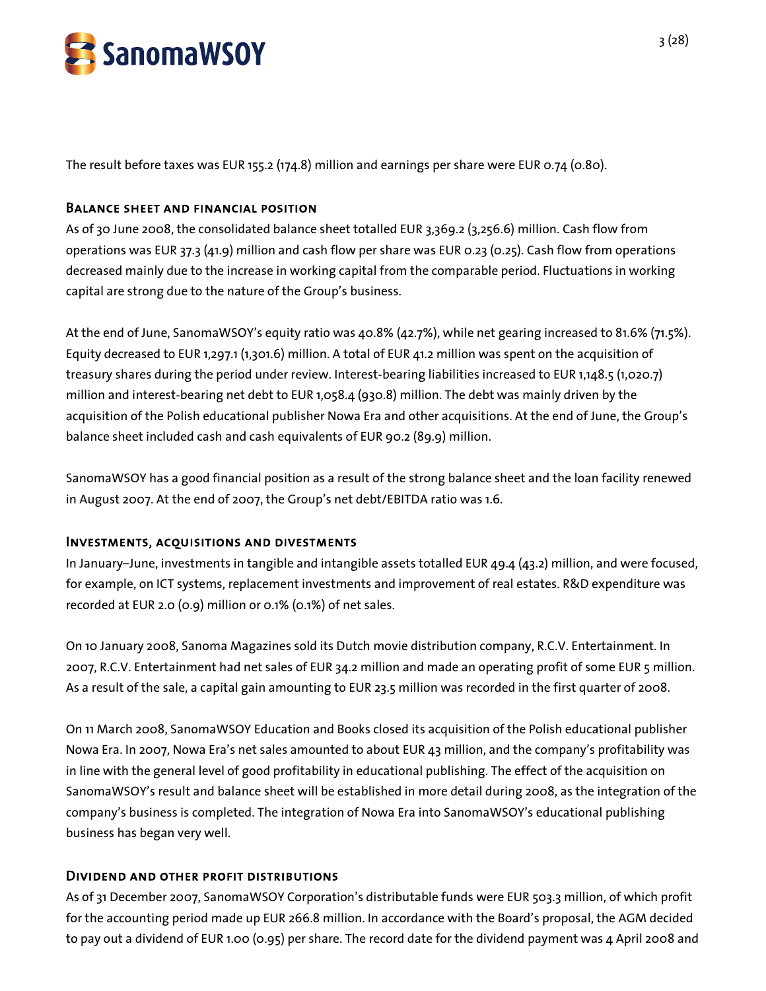

The result before taxes was EUR 155.2 (174.8) million and earnings per share were EUR 0.74 (0.80).

#### Balance sheet and financial position

As of 30 June 2008, the consolidated balance sheet totalled EUR 3,369.2 (3,256.6) million. Cash flow from operations was EUR 37.3 (41.9) million and cash flow per share was EUR 0.23 (0.25). Cash flow from operations decreased mainly due to the increase in working capital from the comparable period. Fluctuations in working capital are strong due to the nature of the Group's business.

At the end of June, SanomaWSOY's equity ratio was 40.8% (42.7%), while net gearing increased to 81.6% (71.5%). Equity decreased to EUR 1,297.1 (1,301.6) million. A total of EUR 41.2 million was spent on the acquisition of treasury shares during the period under review. Interest-bearing liabilities increased to EUR 1,148.5 (1,020.7) million and interest-bearing net debt to EUR 1,058.4 (930.8) million. The debt was mainly driven by the acquisition of the Polish educational publisher Nowa Era and other acquisitions. At the end of June, the Group's balance sheet included cash and cash equivalents of EUR 90.2 (89.9) million.

SanomaWSOY has a good financial position as a result of the strong balance sheet and the loan facility renewed in August 2007. At the end of 2007, the Group's net debt/EBITDA ratio was 1.6.

# Investments, acquisitions and divestments

In January–June, investments in tangible and intangible assets totalled EUR 49.4 (43.2) million, and were focused, for example, on ICT systems, replacement investments and improvement of real estates. R&D expenditure was recorded at EUR 2.0 (0.9) million or 0.1% (0.1%) of net sales.

On 10 January 2008, Sanoma Magazines sold its Dutch movie distribution company, R.C.V. Entertainment. In 2007, R.C.V. Entertainment had net sales of EUR 34.2 million and made an operating profit of some EUR 5 million. As a result of the sale, a capital gain amounting to EUR 23.5 million was recorded in the first quarter of 2008.

On 11 March 2008, SanomaWSOY Education and Books closed its acquisition of the Polish educational publisher Nowa Era. In 2007, Nowa Era's net sales amounted to about EUR 43 million, and the company's profitability was in line with the general level of good profitability in educational publishing. The effect of the acquisition on SanomaWSOY's result and balance sheet will be established in more detail during 2008, as the integration of the company's business is completed. The integration of Nowa Era into SanomaWSOY's educational publishing business has began very well.

# Dividend and other profit distributions

As of 31 December 2007, SanomaWSOY Corporation's distributable funds were EUR 503.3 million, of which profit for the accounting period made up EUR 266.8 million. In accordance with the Board's proposal, the AGM decided to pay out a dividend of EUR 1.00 (0.95) per share. The record date for the dividend payment was 4 April 2008 and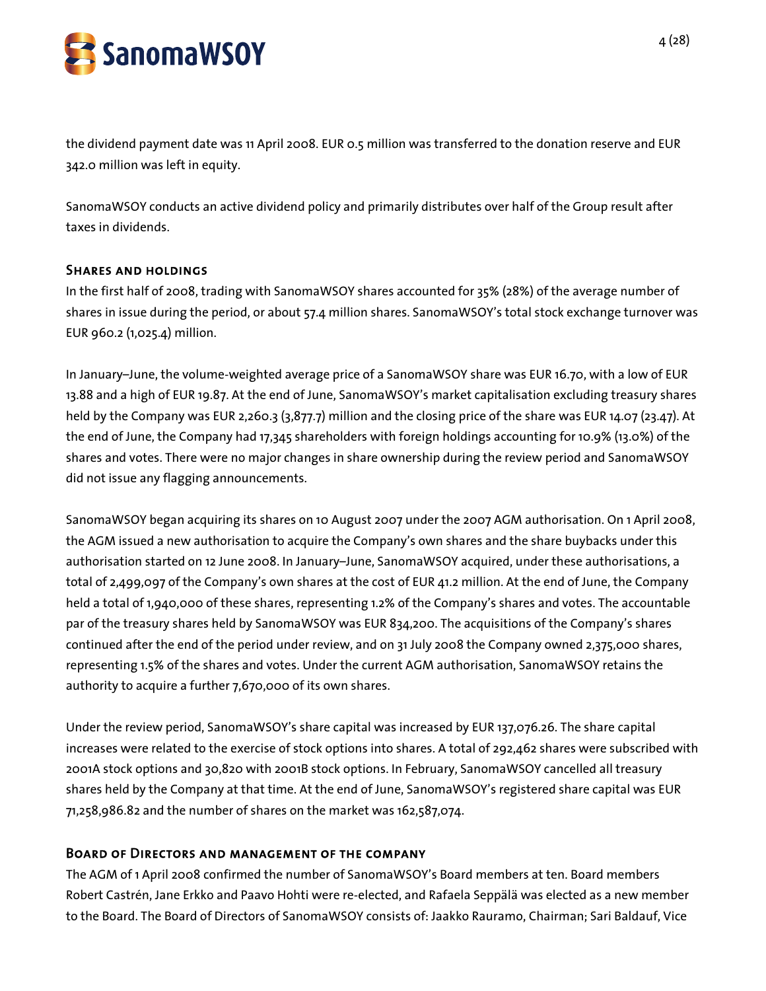

the dividend payment date was 11 April 2008. EUR 0.5 million was transferred to the donation reserve and EUR 342.0 million was left in equity.

SanomaWSOY conducts an active dividend policy and primarily distributes over half of the Group result after taxes in dividends.

#### Shares and holdings

In the first half of 2008, trading with SanomaWSOY shares accounted for 35% (28%) of the average number of shares in issue during the period, or about 57.4 million shares. SanomaWSOY's total stock exchange turnover was EUR 960.2 (1,025.4) million.

In January–June, the volume-weighted average price of a SanomaWSOY share was EUR 16.70, with a low of EUR 13.88 and a high of EUR 19.87. At the end of June, SanomaWSOY's market capitalisation excluding treasury shares held by the Company was EUR 2,260.3 (3,877.7) million and the closing price of the share was EUR 14.07 (23.47). At the end of June, the Company had 17,345 shareholders with foreign holdings accounting for 10.9% (13.0%) of the shares and votes. There were no major changes in share ownership during the review period and SanomaWSOY did not issue any flagging announcements.

SanomaWSOY began acquiring its shares on 10 August 2007 under the 2007 AGM authorisation. On 1 April 2008, the AGM issued a new authorisation to acquire the Company's own shares and the share buybacks under this authorisation started on 12 June 2008. In January–June, SanomaWSOY acquired, under these authorisations, a total of 2,499,097 of the Company's own shares at the cost of EUR 41.2 million. At the end of June, the Company held a total of 1,940,000 of these shares, representing 1.2% of the Company's shares and votes. The accountable par of the treasury shares held by SanomaWSOY was EUR 834,200. The acquisitions of the Company's shares continued after the end of the period under review, and on 31 July 2008 the Company owned 2,375,000 shares, representing 1.5% of the shares and votes. Under the current AGM authorisation, SanomaWSOY retains the authority to acquire a further 7,670,000 of its own shares.

Under the review period, SanomaWSOY's share capital was increased by EUR 137,076.26. The share capital increases were related to the exercise of stock options into shares. A total of 292,462 shares were subscribed with 2001A stock options and 30,820 with 2001B stock options. In February, SanomaWSOY cancelled all treasury shares held by the Company at that time. At the end of June, SanomaWSOY's registered share capital was EUR 71,258,986.82 and the number of shares on the market was 162,587,074.

# Board of Directors and management of the company

The AGM of 1 April 2008 confirmed the number of SanomaWSOY's Board members at ten. Board members Robert Castrén, Jane Erkko and Paavo Hohti were re-elected, and Rafaela Seppälä was elected as a new member to the Board. The Board of Directors of SanomaWSOY consists of: Jaakko Rauramo, Chairman; Sari Baldauf, Vice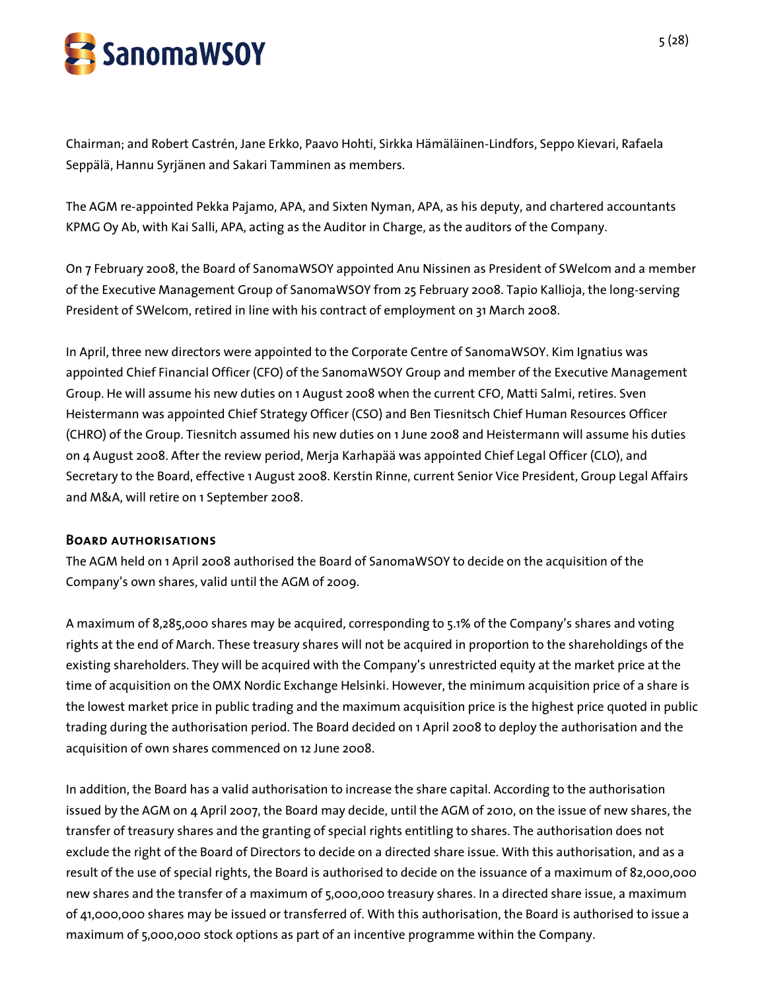

Chairman; and Robert Castrén, Jane Erkko, Paavo Hohti, Sirkka Hämäläinen-Lindfors, Seppo Kievari, Rafaela Seppälä, Hannu Syrjänen and Sakari Tamminen as members.

The AGM re-appointed Pekka Pajamo, APA, and Sixten Nyman, APA, as his deputy, and chartered accountants KPMG Oy Ab, with Kai Salli, APA, acting as the Auditor in Charge, as the auditors of the Company.

On 7 February 2008, the Board of SanomaWSOY appointed Anu Nissinen as President of SWelcom and a member of the Executive Management Group of SanomaWSOY from 25 February 2008. Tapio Kallioja, the long-serving President of SWelcom, retired in line with his contract of employment on 31 March 2008.

In April, three new directors were appointed to the Corporate Centre of SanomaWSOY. Kim Ignatius was appointed Chief Financial Officer (CFO) of the SanomaWSOY Group and member of the Executive Management Group. He will assume his new duties on 1 August 2008 when the current CFO, Matti Salmi, retires. Sven Heistermann was appointed Chief Strategy Officer (CSO) and Ben Tiesnitsch Chief Human Resources Officer (CHRO) of the Group. Tiesnitch assumed his new duties on 1 June 2008 and Heistermann will assume his duties on 4 August 2008. After the review period, Merja Karhapää was appointed Chief Legal Officer (CLO), and Secretary to the Board, effective 1 August 2008. Kerstin Rinne, current Senior Vice President, Group Legal Affairs and M&A, will retire on 1 September 2008.

# Board authorisations

The AGM held on 1 April 2008 authorised the Board of SanomaWSOY to decide on the acquisition of the Company's own shares, valid until the AGM of 2009.

A maximum of 8,285,000 shares may be acquired, corresponding to 5.1% of the Company's shares and voting rights at the end of March. These treasury shares will not be acquired in proportion to the shareholdings of the existing shareholders. They will be acquired with the Company's unrestricted equity at the market price at the time of acquisition on the OMX Nordic Exchange Helsinki. However, the minimum acquisition price of a share is the lowest market price in public trading and the maximum acquisition price is the highest price quoted in public trading during the authorisation period. The Board decided on 1 April 2008 to deploy the authorisation and the acquisition of own shares commenced on 12 June 2008.

In addition, the Board has a valid authorisation to increase the share capital. According to the authorisation issued by the AGM on 4 April 2007, the Board may decide, until the AGM of 2010, on the issue of new shares, the transfer of treasury shares and the granting of special rights entitling to shares. The authorisation does not exclude the right of the Board of Directors to decide on a directed share issue. With this authorisation, and as a result of the use of special rights, the Board is authorised to decide on the issuance of a maximum of 82,000,000 new shares and the transfer of a maximum of 5,000,000 treasury shares. In a directed share issue, a maximum of 41,000,000 shares may be issued or transferred of. With this authorisation, the Board is authorised to issue a maximum of 5,000,000 stock options as part of an incentive programme within the Company.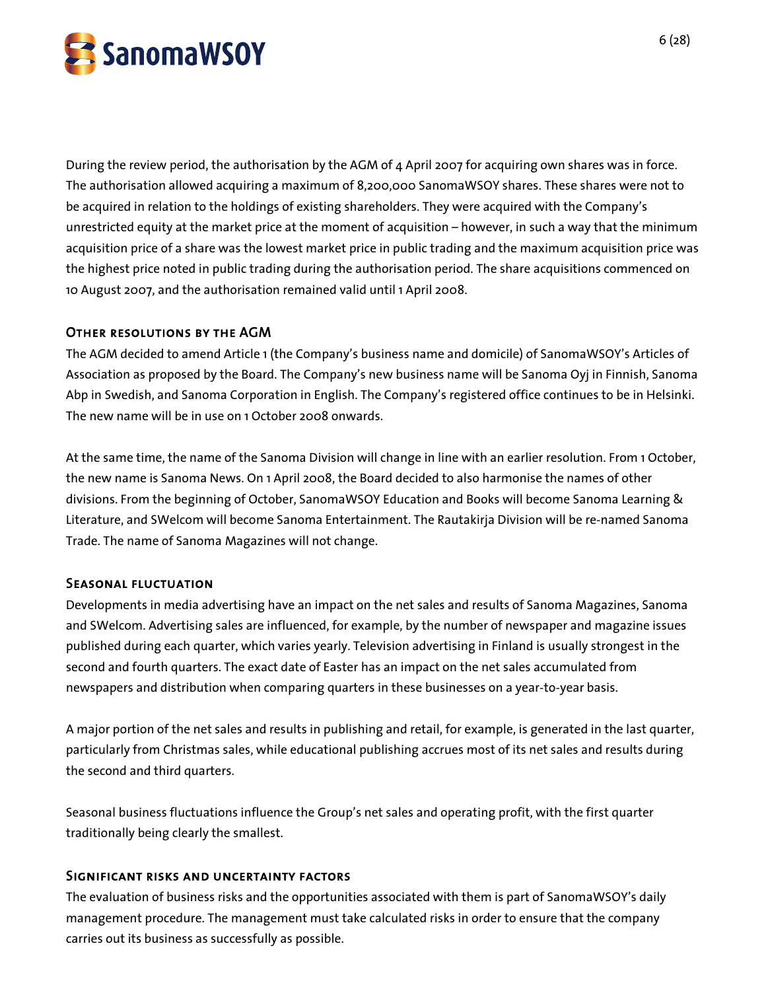

During the review period, the authorisation by the AGM of 4 April 2007 for acquiring own shares was in force. The authorisation allowed acquiring a maximum of 8,200,000 SanomaWSOY shares. These shares were not to be acquired in relation to the holdings of existing shareholders. They were acquired with the Company's unrestricted equity at the market price at the moment of acquisition – however, in such a way that the minimum acquisition price of a share was the lowest market price in public trading and the maximum acquisition price was the highest price noted in public trading during the authorisation period. The share acquisitions commenced on 10 August 2007, and the authorisation remained valid until 1 April 2008.

# Other resolutions by the AGM

The AGM decided to amend Article 1 (the Company's business name and domicile) of SanomaWSOY's Articles of Association as proposed by the Board. The Company's new business name will be Sanoma Oyj in Finnish, Sanoma Abp in Swedish, and Sanoma Corporation in English. The Company's registered office continues to be in Helsinki. The new name will be in use on 1 October 2008 onwards.

At the same time, the name of the Sanoma Division will change in line with an earlier resolution. From 1 October, the new name is Sanoma News. On 1 April 2008, the Board decided to also harmonise the names of other divisions. From the beginning of October, SanomaWSOY Education and Books will become Sanoma Learning & Literature, and SWelcom will become Sanoma Entertainment. The Rautakirja Division will be re-named Sanoma Trade. The name of Sanoma Magazines will not change.

#### Seasonal fluctuation

Developments in media advertising have an impact on the net sales and results of Sanoma Magazines, Sanoma and SWelcom. Advertising sales are influenced, for example, by the number of newspaper and magazine issues published during each quarter, which varies yearly. Television advertising in Finland is usually strongest in the second and fourth quarters. The exact date of Easter has an impact on the net sales accumulated from newspapers and distribution when comparing quarters in these businesses on a year-to-year basis.

A major portion of the net sales and results in publishing and retail, for example, is generated in the last quarter, particularly from Christmas sales, while educational publishing accrues most of its net sales and results during the second and third quarters.

Seasonal business fluctuations influence the Group's net sales and operating profit, with the first quarter traditionally being clearly the smallest.

#### Significant risks and uncertainty factors

The evaluation of business risks and the opportunities associated with them is part of SanomaWSOY's daily management procedure. The management must take calculated risks in order to ensure that the company carries out its business as successfully as possible.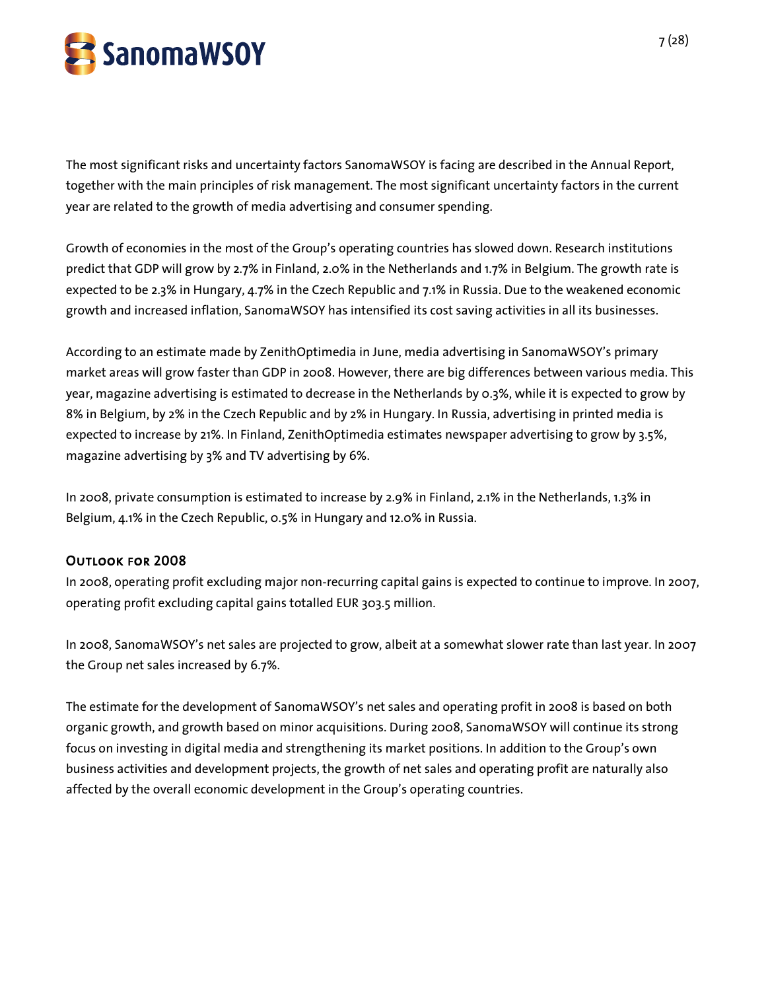

The most significant risks and uncertainty factors SanomaWSOY is facing are described in the Annual Report, together with the main principles of risk management. The most significant uncertainty factors in the current year are related to the growth of media advertising and consumer spending.

Growth of economies in the most of the Group's operating countries has slowed down. Research institutions predict that GDP will grow by 2.7% in Finland, 2.0% in the Netherlands and 1.7% in Belgium. The growth rate is expected to be 2.3% in Hungary, 4.7% in the Czech Republic and 7.1% in Russia. Due to the weakened economic growth and increased inflation, SanomaWSOY has intensified its cost saving activities in all its businesses.

According to an estimate made by ZenithOptimedia in June, media advertising in SanomaWSOY's primary market areas will grow faster than GDP in 2008. However, there are big differences between various media. This year, magazine advertising is estimated to decrease in the Netherlands by 0.3%, while it is expected to grow by 8% in Belgium, by 2% in the Czech Republic and by 2% in Hungary. In Russia, advertising in printed media is expected to increase by 21%. In Finland, ZenithOptimedia estimates newspaper advertising to grow by 3.5%, magazine advertising by 3% and TV advertising by 6%.

In 2008, private consumption is estimated to increase by 2.9% in Finland, 2.1% in the Netherlands, 1.3% in Belgium, 4.1% in the Czech Republic, 0.5% in Hungary and 12.0% in Russia.

# Outlook for 2008

In 2008, operating profit excluding major non-recurring capital gains is expected to continue to improve. In 2007, operating profit excluding capital gains totalled EUR 303.5 million.

In 2008, SanomaWSOY's net sales are projected to grow, albeit at a somewhat slower rate than last year. In 2007 the Group net sales increased by 6.7%.

The estimate for the development of SanomaWSOY's net sales and operating profit in 2008 is based on both organic growth, and growth based on minor acquisitions. During 2008, SanomaWSOY will continue its strong focus on investing in digital media and strengthening its market positions. In addition to the Group's own business activities and development projects, the growth of net sales and operating profit are naturally also affected by the overall economic development in the Group's operating countries.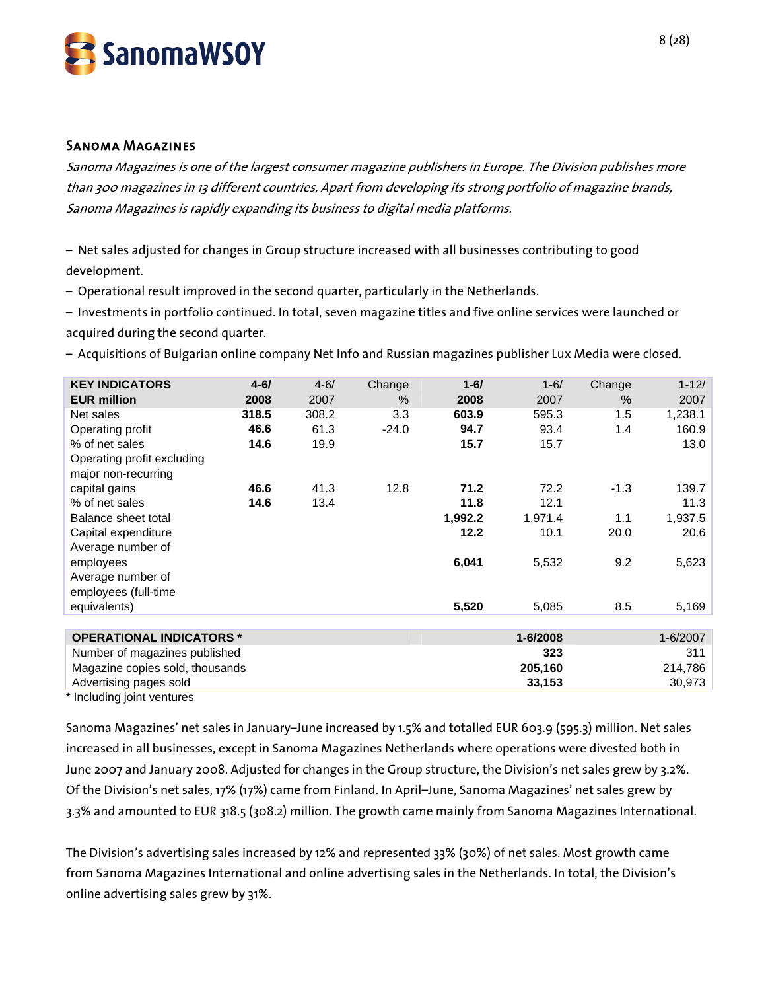

#### Sanoma Magazines

Sanoma Magazines is one of the largest consumer magazine publishers in Europe. The Division publishes more than 300 magazines in 13 different countries. Apart from developing its strong portfolio of magazine brands, Sanoma Magazines is rapidly expanding its business to digital media platforms.

– Net sales adjusted for changes in Group structure increased with all businesses contributing to good development.

– Operational result improved in the second quarter, particularly in the Netherlands.

– Investments in portfolio continued. In total, seven magazine titles and five online services were launched or acquired during the second quarter.

– Acquisitions of Bulgarian online company Net Info and Russian magazines publisher Lux Media were closed.

| <b>KEY INDICATORS</b>           | $4 - 61$ | $4 - 6/$ | Change  | $1 - 6/$ | $1 - 6/$ | Change | $1 - 12/$ |
|---------------------------------|----------|----------|---------|----------|----------|--------|-----------|
| <b>EUR million</b>              | 2008     | 2007     | $\%$    | 2008     | 2007     | $\%$   | 2007      |
| Net sales                       | 318.5    | 308.2    | 3.3     | 603.9    | 595.3    | 1.5    | 1,238.1   |
| Operating profit                | 46.6     | 61.3     | $-24.0$ | 94.7     | 93.4     | 1.4    | 160.9     |
| % of net sales                  | 14.6     | 19.9     |         | 15.7     | 15.7     |        | 13.0      |
| Operating profit excluding      |          |          |         |          |          |        |           |
| major non-recurring             |          |          |         |          |          |        |           |
| capital gains                   | 46.6     | 41.3     | 12.8    | 71.2     | 72.2     | $-1.3$ | 139.7     |
| % of net sales                  | 14.6     | 13.4     |         | 11.8     | 12.1     |        | 11.3      |
| Balance sheet total             |          |          |         | 1,992.2  | 1,971.4  | 1.1    | 1,937.5   |
| Capital expenditure             |          |          |         | 12.2     | 10.1     | 20.0   | 20.6      |
| Average number of               |          |          |         |          |          |        |           |
| employees                       |          |          |         | 6,041    | 5,532    | 9.2    | 5,623     |
| Average number of               |          |          |         |          |          |        |           |
| employees (full-time            |          |          |         |          |          |        |           |
| equivalents)                    |          |          |         | 5,520    | 5,085    | 8.5    | 5,169     |
|                                 |          |          |         |          |          |        |           |
| <b>OPERATIONAL INDICATORS *</b> |          |          |         |          | 1-6/2008 |        | 1-6/2007  |
| Number of magazines published   |          |          |         |          | 323      |        | 311       |
| Magazine copies sold, thousands |          |          |         |          | 205,160  |        | 214,786   |
| Advertising pages sold          |          |          |         |          | 33,153   |        | 30,973    |
| Including joint ventures        |          |          |         |          |          |        |           |

Sanoma Magazines' net sales in January–June increased by 1.5% and totalled EUR 603.9 (595.3) million. Net sales increased in all businesses, except in Sanoma Magazines Netherlands where operations were divested both in June 2007 and January 2008. Adjusted for changes in the Group structure, the Division's net sales grew by 3.2%. Of the Division's net sales, 17% (17%) came from Finland. In April–June, Sanoma Magazines' net sales grew by 3.3% and amounted to EUR 318.5 (308.2) million. The growth came mainly from Sanoma Magazines International.

The Division's advertising sales increased by 12% and represented 33% (30%) of net sales. Most growth came from Sanoma Magazines International and online advertising sales in the Netherlands. In total, the Division's online advertising sales grew by 31%.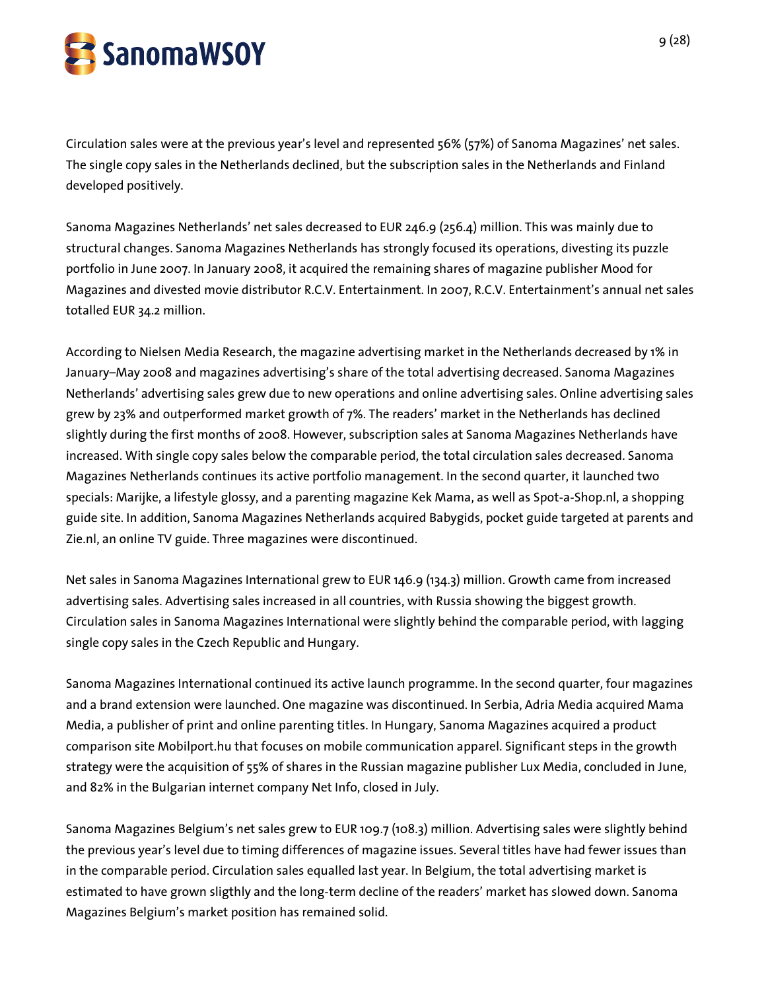

Circulation sales were at the previous year's level and represented 56% (57%) of Sanoma Magazines' net sales. The single copy sales in the Netherlands declined, but the subscription sales in the Netherlands and Finland developed positively.

Sanoma Magazines Netherlands' net sales decreased to EUR 246.9 (256.4) million. This was mainly due to structural changes. Sanoma Magazines Netherlands has strongly focused its operations, divesting its puzzle portfolio in June 2007. In January 2008, it acquired the remaining shares of magazine publisher Mood for Magazines and divested movie distributor R.C.V. Entertainment. In 2007, R.C.V. Entertainment's annual net sales totalled EUR 34.2 million.

According to Nielsen Media Research, the magazine advertising market in the Netherlands decreased by 1% in January–May 2008 and magazines advertising's share of the total advertising decreased. Sanoma Magazines Netherlands' advertising sales grew due to new operations and online advertising sales. Online advertising sales grew by 23% and outperformed market growth of 7%. The readers' market in the Netherlands has declined slightly during the first months of 2008. However, subscription sales at Sanoma Magazines Netherlands have increased. With single copy sales below the comparable period, the total circulation sales decreased. Sanoma Magazines Netherlands continues its active portfolio management. In the second quarter, it launched two specials: Marijke, a lifestyle glossy, and a parenting magazine Kek Mama, as well as Spot-a-Shop.nl, a shopping guide site. In addition, Sanoma Magazines Netherlands acquired Babygids, pocket guide targeted at parents and Zie.nl, an online TV guide. Three magazines were discontinued.

Net sales in Sanoma Magazines International grew to EUR 146.9 (134.3) million. Growth came from increased advertising sales. Advertising sales increased in all countries, with Russia showing the biggest growth. Circulation sales in Sanoma Magazines International were slightly behind the comparable period, with lagging single copy sales in the Czech Republic and Hungary.

Sanoma Magazines International continued its active launch programme. In the second quarter, four magazines and a brand extension were launched. One magazine was discontinued. In Serbia, Adria Media acquired Mama Media, a publisher of print and online parenting titles. In Hungary, Sanoma Magazines acquired a product comparison site Mobilport.hu that focuses on mobile communication apparel. Significant steps in the growth strategy were the acquisition of 55% of shares in the Russian magazine publisher Lux Media, concluded in June, and 82% in the Bulgarian internet company Net Info, closed in July.

Sanoma Magazines Belgium's net sales grew to EUR 109.7 (108.3) million. Advertising sales were slightly behind the previous year's level due to timing differences of magazine issues. Several titles have had fewer issues than in the comparable period. Circulation sales equalled last year. In Belgium, the total advertising market is estimated to have grown sligthly and the long-term decline of the readers' market has slowed down. Sanoma Magazines Belgium's market position has remained solid.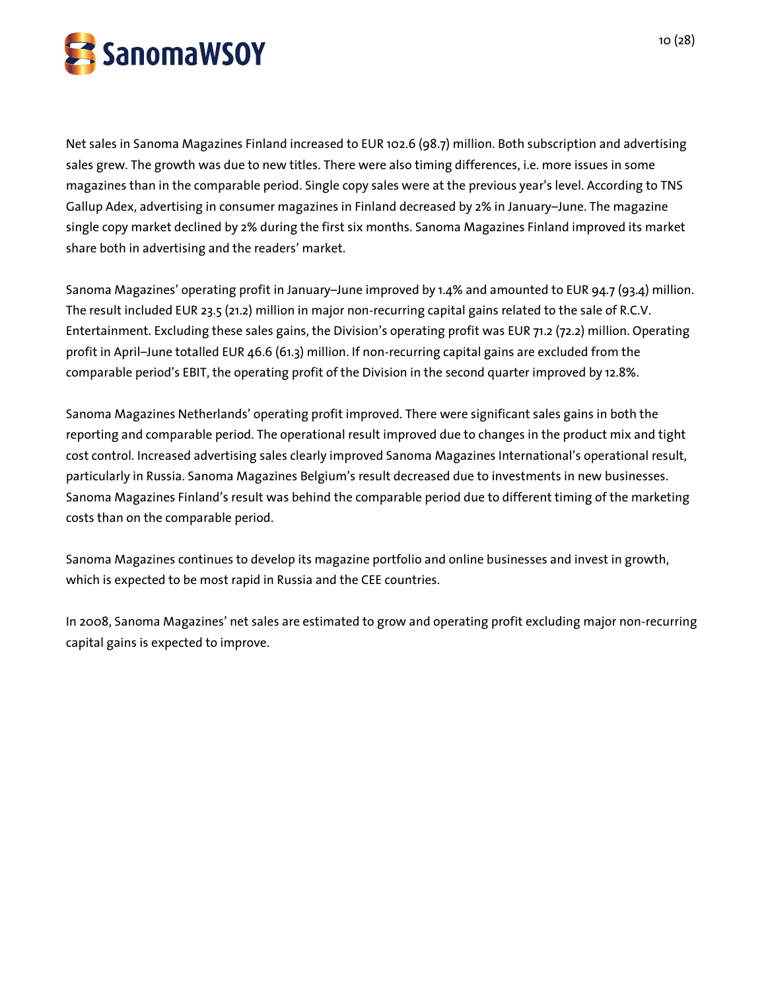

Net sales in Sanoma Magazines Finland increased to EUR 102.6 (98.7) million. Both subscription and advertising sales grew. The growth was due to new titles. There were also timing differences, i.e. more issues in some magazines than in the comparable period. Single copy sales were at the previous year's level. According to TNS Gallup Adex, advertising in consumer magazines in Finland decreased by 2% in January–June. The magazine single copy market declined by 2% during the first six months. Sanoma Magazines Finland improved its market share both in advertising and the readers' market.

Sanoma Magazines' operating profit in January–June improved by 1.4% and amounted to EUR 94.7 (93.4) million. The result included EUR 23.5 (21.2) million in major non-recurring capital gains related to the sale of R.C.V. Entertainment. Excluding these sales gains, the Division's operating profit was EUR 71.2 (72.2) million. Operating profit in April–June totalled EUR 46.6 (61.3) million. If non-recurring capital gains are excluded from the comparable period's EBIT, the operating profit of the Division in the second quarter improved by 12.8%.

Sanoma Magazines Netherlands' operating profit improved. There were significant sales gains in both the reporting and comparable period. The operational result improved due to changes in the product mix and tight cost control. Increased advertising sales clearly improved Sanoma Magazines International's operational result, particularly in Russia. Sanoma Magazines Belgium's result decreased due to investments in new businesses. Sanoma Magazines Finland's result was behind the comparable period due to different timing of the marketing costs than on the comparable period.

Sanoma Magazines continues to develop its magazine portfolio and online businesses and invest in growth, which is expected to be most rapid in Russia and the CEE countries.

In 2008, Sanoma Magazines' net sales are estimated to grow and operating profit excluding major non-recurring capital gains is expected to improve.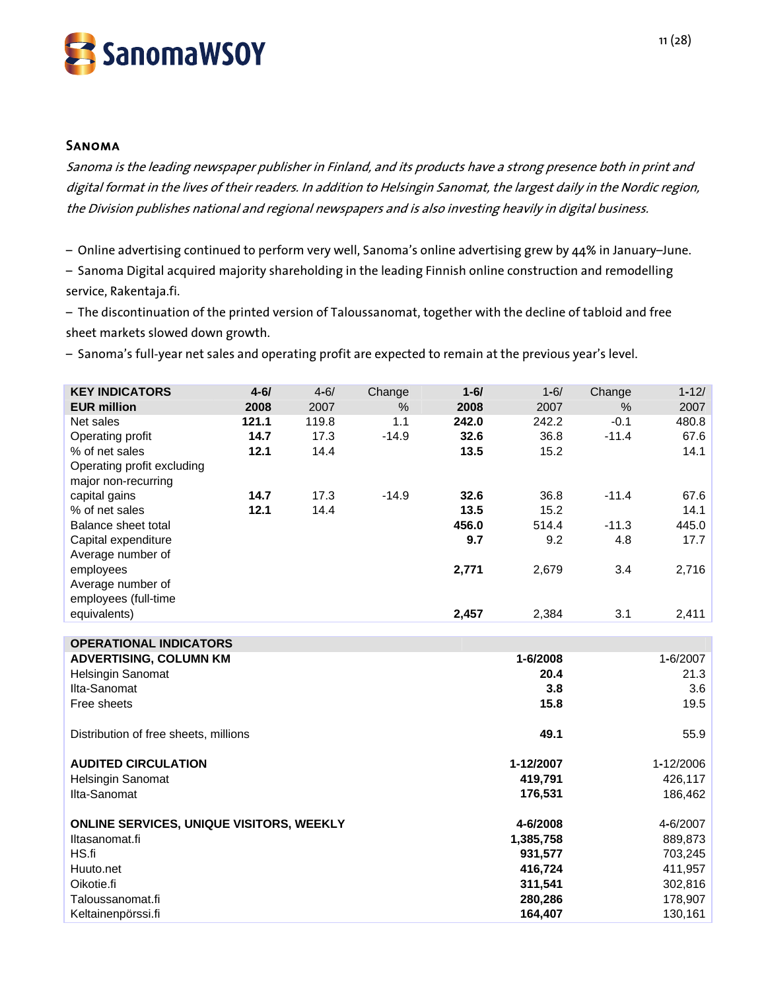

#### Sanoma

Sanoma is the leading newspaper publisher in Finland, and its products have a strong presence both in print and digital format in the lives of their readers. In addition to Helsingin Sanomat, the largest daily in the Nordic region, the Division publishes national and regional newspapers and is also investing heavily in digital business.

– Online advertising continued to perform very well, Sanoma's online advertising grew by 44% in January–June.

– Sanoma Digital acquired majority shareholding in the leading Finnish online construction and remodelling service, Rakentaja.fi.

– The discontinuation of the printed version of Taloussanomat, together with the decline of tabloid and free sheet markets slowed down growth.

– Sanoma's full-year net sales and operating profit are expected to remain at the previous year's level.

| <b>KEY INDICATORS</b>         | $4 - 6/$ | $4 - 6/$ | Change  | $1 - 6/$ | $1 - 6/$ | Change  | $1 - 12/$ |
|-------------------------------|----------|----------|---------|----------|----------|---------|-----------|
| <b>EUR million</b>            | 2008     | 2007     | $\%$    | 2008     | 2007     | $\%$    | 2007      |
| Net sales                     | 121.1    | 119.8    | 1.1     | 242.0    | 242.2    | $-0.1$  | 480.8     |
| Operating profit              | 14.7     | 17.3     | $-14.9$ | 32.6     | 36.8     | $-11.4$ | 67.6      |
| % of net sales                | 12.1     | 14.4     |         | 13.5     | 15.2     |         | 14.1      |
| Operating profit excluding    |          |          |         |          |          |         |           |
| major non-recurring           |          |          |         |          |          |         |           |
| capital gains                 | 14.7     | 17.3     | $-14.9$ | 32.6     | 36.8     | $-11.4$ | 67.6      |
| % of net sales                | 12.1     | 14.4     |         | 13.5     | 15.2     |         | 14.1      |
| Balance sheet total           |          |          |         | 456.0    | 514.4    | $-11.3$ | 445.0     |
| Capital expenditure           |          |          |         | 9.7      | 9.2      | 4.8     | 17.7      |
| Average number of             |          |          |         |          |          |         |           |
| employees                     |          |          |         | 2,771    | 2,679    | 3.4     | 2,716     |
| Average number of             |          |          |         |          |          |         |           |
| employees (full-time          |          |          |         |          |          |         |           |
| equivalents)                  |          |          |         | 2,457    | 2,384    | 3.1     | 2,411     |
|                               |          |          |         |          |          |         |           |
| <b>OPERATIONAL INDICATORS</b> |          |          |         |          |          |         |           |

| <b>ADVERTISING, COLUMN KM</b>                   | 1-6/2008  | 1-6/2007  |
|-------------------------------------------------|-----------|-----------|
| <b>Helsingin Sanomat</b>                        | 20.4      | 21.3      |
| Ilta-Sanomat                                    | 3.8       | 3.6       |
| Free sheets                                     | 15.8      | 19.5      |
| Distribution of free sheets, millions           | 49.1      | 55.9      |
| <b>AUDITED CIRCULATION</b>                      | 1-12/2007 | 1-12/2006 |
| <b>Helsingin Sanomat</b>                        | 419,791   | 426,117   |
| Ilta-Sanomat                                    | 176,531   | 186,462   |
| <b>ONLINE SERVICES, UNIQUE VISITORS, WEEKLY</b> | 4-6/2008  | 4-6/2007  |
| Iltasanomat.fi                                  | 1,385,758 | 889,873   |
| HS.fi                                           | 931,577   | 703,245   |
| Huuto.net                                       | 416,724   | 411,957   |
| Oikotie.fi                                      | 311,541   | 302,816   |
| Taloussanomat.fi                                | 280,286   | 178,907   |
| Keltainenpörssi.fi                              | 164,407   | 130,161   |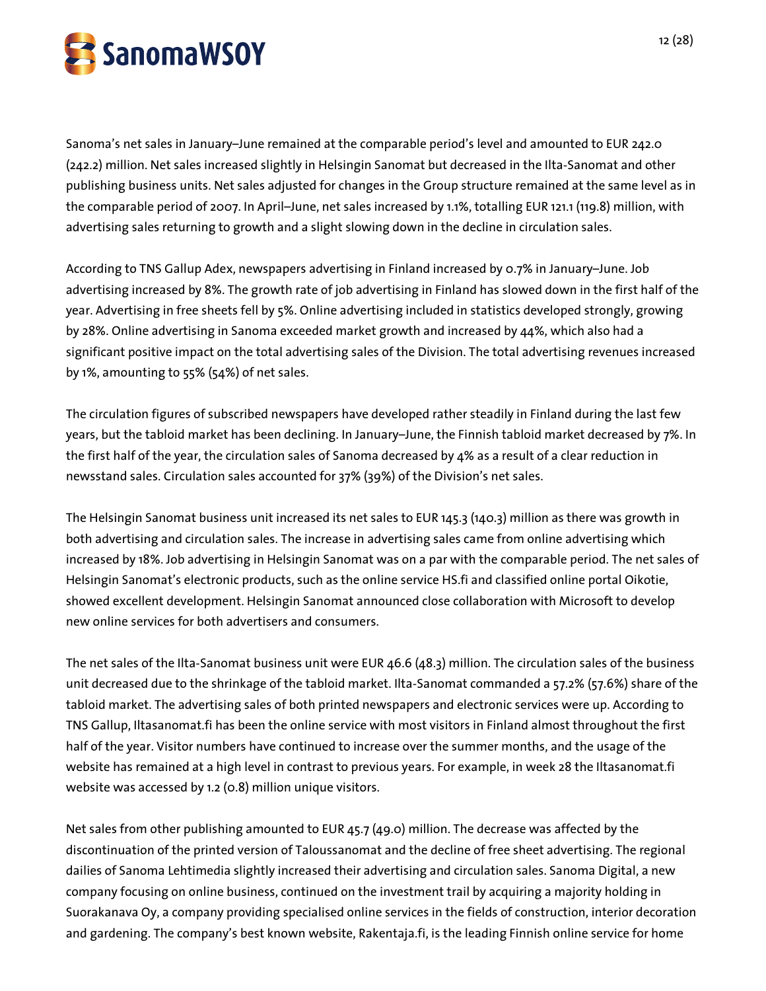

Sanoma's net sales in January–June remained at the comparable period's level and amounted to EUR 242.0 (242.2) million. Net sales increased slightly in Helsingin Sanomat but decreased in the Ilta-Sanomat and other publishing business units. Net sales adjusted for changes in the Group structure remained at the same level as in the comparable period of 2007. In April–June, net sales increased by 1.1%, totalling EUR 121.1 (119.8) million, with advertising sales returning to growth and a slight slowing down in the decline in circulation sales.

According to TNS Gallup Adex, newspapers advertising in Finland increased by 0.7% in January–June. Job advertising increased by 8%. The growth rate of job advertising in Finland has slowed down in the first half of the year. Advertising in free sheets fell by 5%. Online advertising included in statistics developed strongly, growing by 28%. Online advertising in Sanoma exceeded market growth and increased by 44%, which also had a significant positive impact on the total advertising sales of the Division. The total advertising revenues increased by 1%, amounting to 55% (54%) of net sales.

The circulation figures of subscribed newspapers have developed rather steadily in Finland during the last few years, but the tabloid market has been declining. In January–June, the Finnish tabloid market decreased by 7%. In the first half of the year, the circulation sales of Sanoma decreased by 4% as a result of a clear reduction in newsstand sales. Circulation sales accounted for 37% (39%) of the Division's net sales.

The Helsingin Sanomat business unit increased its net sales to EUR 145.3 (140.3) million as there was growth in both advertising and circulation sales. The increase in advertising sales came from online advertising which increased by 18%. Job advertising in Helsingin Sanomat was on a par with the comparable period. The net sales of Helsingin Sanomat's electronic products, such as the online service HS.fi and classified online portal Oikotie, showed excellent development. Helsingin Sanomat announced close collaboration with Microsoft to develop new online services for both advertisers and consumers.

The net sales of the Ilta-Sanomat business unit were EUR 46.6 (48.3) million. The circulation sales of the business unit decreased due to the shrinkage of the tabloid market. Ilta-Sanomat commanded a 57.2% (57.6%) share of the tabloid market. The advertising sales of both printed newspapers and electronic services were up. According to TNS Gallup, Iltasanomat.fi has been the online service with most visitors in Finland almost throughout the first half of the year. Visitor numbers have continued to increase over the summer months, and the usage of the website has remained at a high level in contrast to previous years. For example, in week 28 the Iltasanomat.fi website was accessed by 1.2 (0.8) million unique visitors.

Net sales from other publishing amounted to EUR 45.7 (49.0) million. The decrease was affected by the discontinuation of the printed version of Taloussanomat and the decline of free sheet advertising. The regional dailies of Sanoma Lehtimedia slightly increased their advertising and circulation sales. Sanoma Digital, a new company focusing on online business, continued on the investment trail by acquiring a majority holding in Suorakanava Oy, a company providing specialised online services in the fields of construction, interior decoration and gardening. The company's best known website, Rakentaja.fi, is the leading Finnish online service for home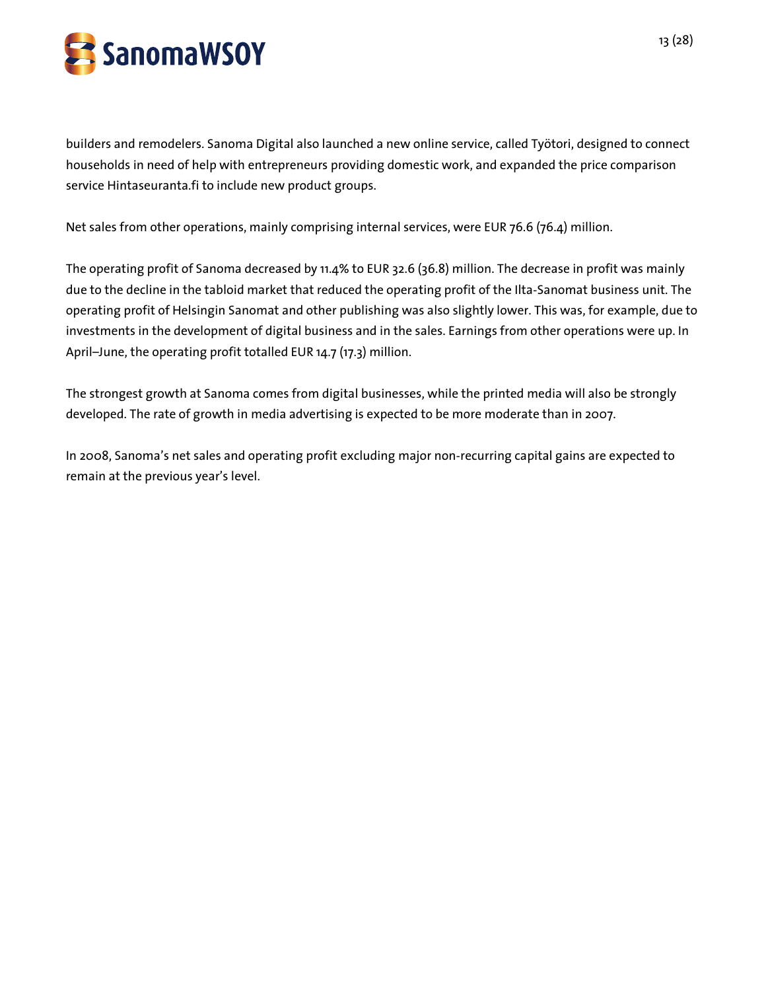

builders and remodelers. Sanoma Digital also launched a new online service, called Työtori, designed to connect households in need of help with entrepreneurs providing domestic work, and expanded the price comparison service Hintaseuranta.fi to include new product groups.

Net sales from other operations, mainly comprising internal services, were EUR 76.6 (76.4) million.

The operating profit of Sanoma decreased by 11.4% to EUR 32.6 (36.8) million. The decrease in profit was mainly due to the decline in the tabloid market that reduced the operating profit of the Ilta-Sanomat business unit. The operating profit of Helsingin Sanomat and other publishing was also slightly lower. This was, for example, due to investments in the development of digital business and in the sales. Earnings from other operations were up. In April–June, the operating profit totalled EUR 14.7 (17.3) million.

The strongest growth at Sanoma comes from digital businesses, while the printed media will also be strongly developed. The rate of growth in media advertising is expected to be more moderate than in 2007.

In 2008, Sanoma's net sales and operating profit excluding major non-recurring capital gains are expected to remain at the previous year's level.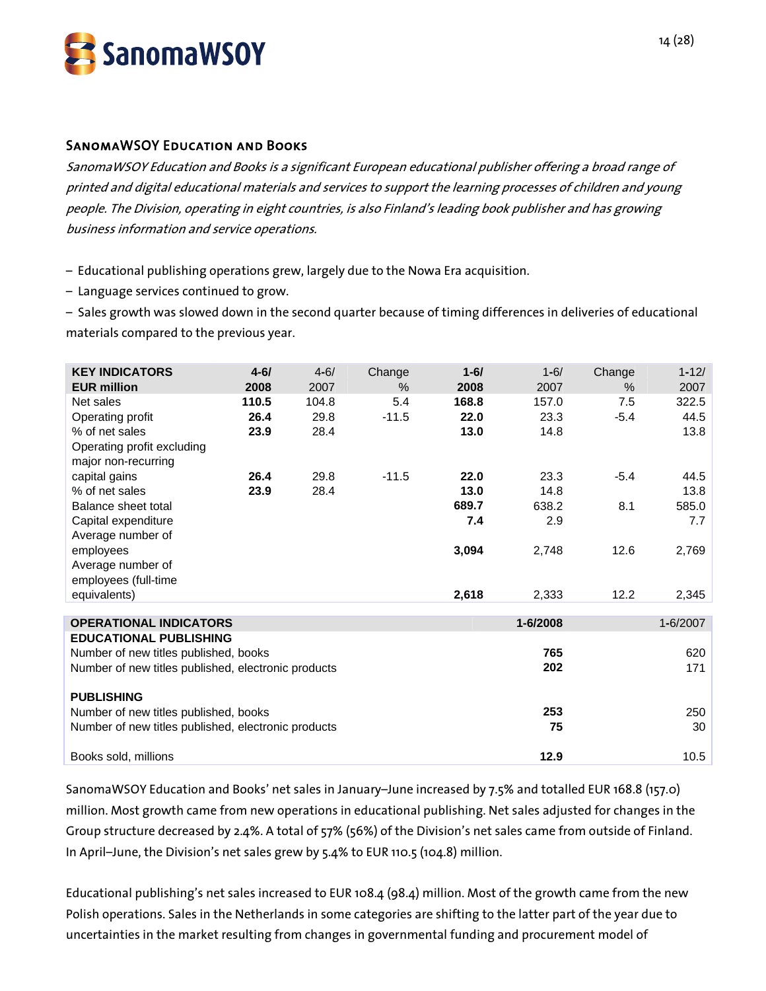

# SanomaWSOY Education and Books

SanomaWSOY Education and Books is a significant European educational publisher offering a broad range of printed and digital educational materials and services to support the learning processes of children and young people. The Division, operating in eight countries, is also Finland's leading book publisher and has growing business information and service operations.

– Educational publishing operations grew, largely due to the Nowa Era acquisition.

– Language services continued to grow.

– Sales growth was slowed down in the second quarter because of timing differences in deliveries of educational materials compared to the previous year.

| <b>KEY INDICATORS</b>                               | $4 - 6/$ | $4 - 6/$ | Change  | $1 - 6/$ | $1 - 6/$ | Change | $1 - 12/$ |
|-----------------------------------------------------|----------|----------|---------|----------|----------|--------|-----------|
| <b>EUR million</b>                                  | 2008     | 2007     | $\%$    | 2008     | 2007     | $\%$   | 2007      |
| Net sales                                           | 110.5    | 104.8    | 5.4     | 168.8    | 157.0    | 7.5    | 322.5     |
| Operating profit                                    | 26.4     | 29.8     | $-11.5$ | 22.0     | 23.3     | $-5.4$ | 44.5      |
| % of net sales                                      | 23.9     | 28.4     |         | 13.0     | 14.8     |        | 13.8      |
| Operating profit excluding                          |          |          |         |          |          |        |           |
| major non-recurring                                 |          |          |         |          |          |        |           |
| capital gains                                       | 26.4     | 29.8     | $-11.5$ | 22.0     | 23.3     | $-5.4$ | 44.5      |
| % of net sales                                      | 23.9     | 28.4     |         | 13.0     | 14.8     |        | 13.8      |
| Balance sheet total                                 |          |          |         | 689.7    | 638.2    | 8.1    | 585.0     |
| Capital expenditure                                 |          |          |         | 7.4      | 2.9      |        | 7.7       |
| Average number of                                   |          |          |         |          |          |        |           |
| employees                                           |          |          |         | 3,094    | 2,748    | 12.6   | 2,769     |
| Average number of                                   |          |          |         |          |          |        |           |
| employees (full-time                                |          |          |         |          |          |        |           |
| equivalents)                                        |          |          |         | 2,618    | 2,333    | 12.2   | 2,345     |
|                                                     |          |          |         |          |          |        |           |
| <b>OPERATIONAL INDICATORS</b>                       |          |          |         |          | 1-6/2008 |        | 1-6/2007  |
| <b>EDUCATIONAL PUBLISHING</b>                       |          |          |         |          |          |        |           |
| Number of new titles published, books               |          |          |         |          | 765      |        | 620       |
| Number of new titles published, electronic products |          |          |         |          | 202      |        | 171       |
| <b>PUBLISHING</b>                                   |          |          |         |          |          |        |           |
| Number of new titles published, books               |          |          |         |          | 253      |        | 250       |
| Number of new titles published, electronic products |          |          |         |          | 75       |        | 30        |
|                                                     |          |          |         |          |          |        |           |
| Books sold, millions                                |          |          |         |          | 12.9     |        | 10.5      |

SanomaWSOY Education and Books' net sales in January–June increased by 7.5% and totalled EUR 168.8 (157.0) million. Most growth came from new operations in educational publishing. Net sales adjusted for changes in the Group structure decreased by 2.4%. A total of 57% (56%) of the Division's net sales came from outside of Finland. In April–June, the Division's net sales grew by 5.4% to EUR 110.5 (104.8) million.

Educational publishing's net sales increased to EUR 108.4 (98.4) million. Most of the growth came from the new Polish operations. Sales in the Netherlands in some categories are shifting to the latter part of the year due to uncertainties in the market resulting from changes in governmental funding and procurement model of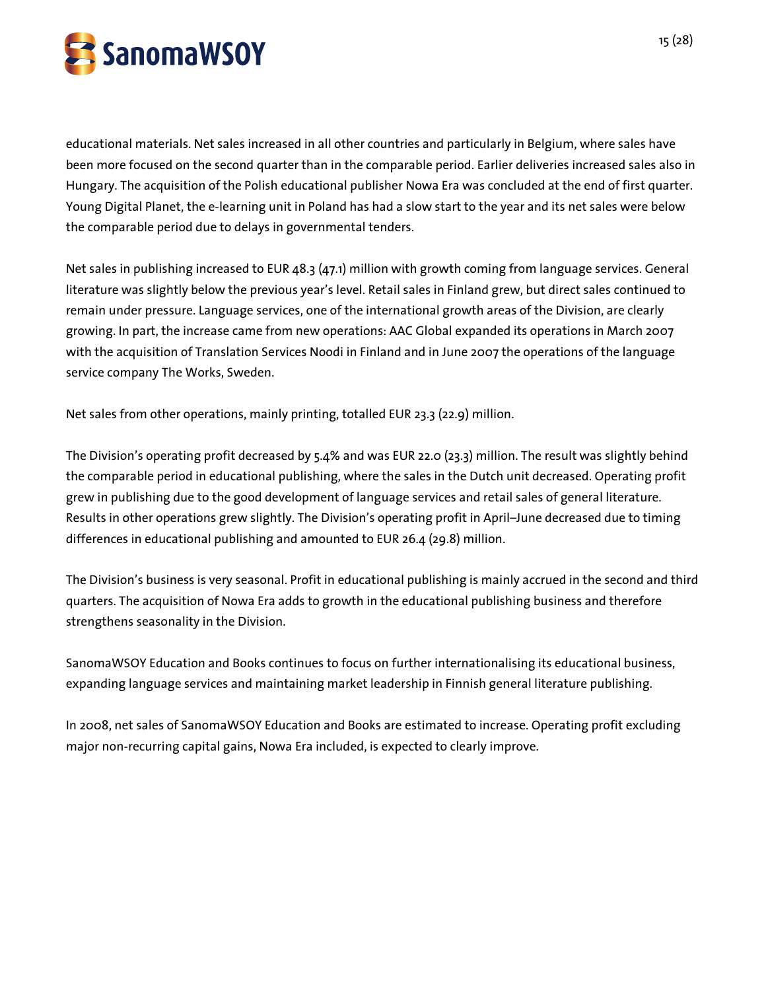

educational materials. Net sales increased in all other countries and particularly in Belgium, where sales have been more focused on the second quarter than in the comparable period. Earlier deliveries increased sales also in Hungary. The acquisition of the Polish educational publisher Nowa Era was concluded at the end of first quarter. Young Digital Planet, the e-learning unit in Poland has had a slow start to the year and its net sales were below the comparable period due to delays in governmental tenders.

Net sales in publishing increased to EUR 48.3 (47.1) million with growth coming from language services. General literature was slightly below the previous year's level. Retail sales in Finland grew, but direct sales continued to remain under pressure. Language services, one of the international growth areas of the Division, are clearly growing. In part, the increase came from new operations: AAC Global expanded its operations in March 2007 with the acquisition of Translation Services Noodi in Finland and in June 2007 the operations of the language service company The Works, Sweden.

Net sales from other operations, mainly printing, totalled EUR 23.3 (22.9) million.

The Division's operating profit decreased by 5.4% and was EUR 22.0 (23.3) million. The result was slightly behind the comparable period in educational publishing, where the sales in the Dutch unit decreased. Operating profit grew in publishing due to the good development of language services and retail sales of general literature. Results in other operations grew slightly. The Division's operating profit in April–June decreased due to timing differences in educational publishing and amounted to EUR 26.4 (29.8) million.

The Division's business is very seasonal. Profit in educational publishing is mainly accrued in the second and third quarters. The acquisition of Nowa Era adds to growth in the educational publishing business and therefore strengthens seasonality in the Division.

SanomaWSOY Education and Books continues to focus on further internationalising its educational business, expanding language services and maintaining market leadership in Finnish general literature publishing.

In 2008, net sales of SanomaWSOY Education and Books are estimated to increase. Operating profit excluding major non-recurring capital gains, Nowa Era included, is expected to clearly improve.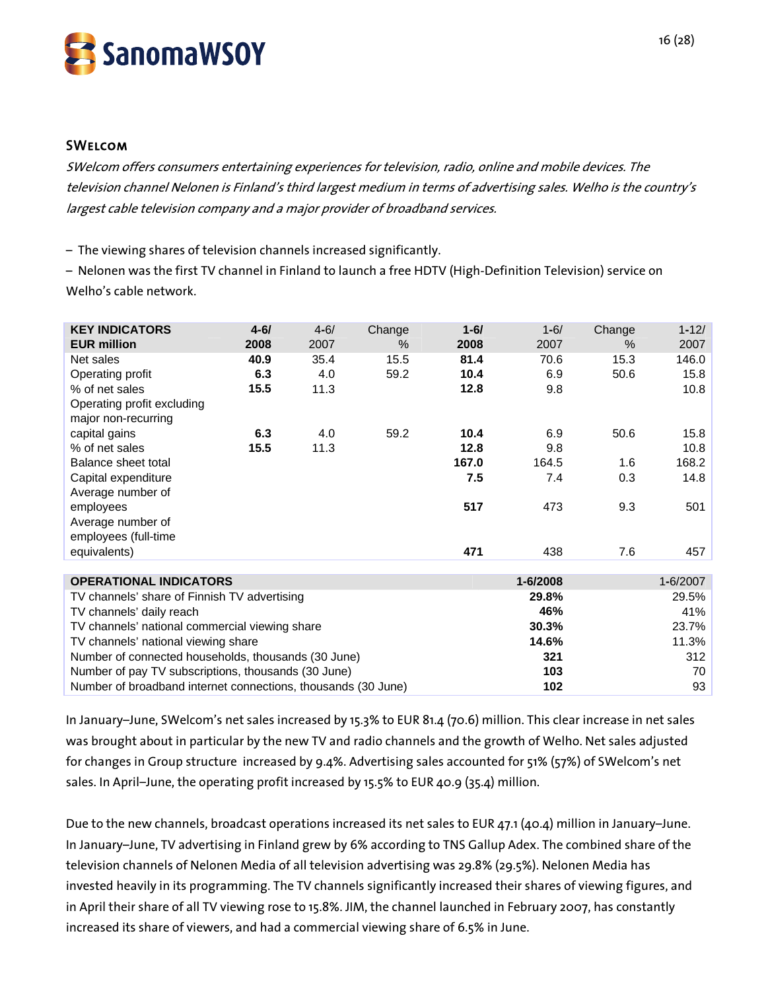

#### **SWELCOM**

SWelcom offers consumers entertaining experiences for television, radio, online and mobile devices. The television channel Nelonen is Finland's third largest medium in terms of advertising sales. Welho is the country's largest cable television company and a major provider of broadband services.

– The viewing shares of television channels increased significantly.

– Nelonen was the first TV channel in Finland to launch a free HDTV (High-Definition Television) service on Welho's cable network.

| <b>KEY INDICATORS</b>                                         | $4 - 6/$ | $4 - 6/$ | Change | $1 - 6/$ | $1 - 6/$ | Change  | $1 - 12/$ |
|---------------------------------------------------------------|----------|----------|--------|----------|----------|---------|-----------|
| <b>EUR million</b>                                            | 2008     | 2007     | $\%$   | 2008     | 2007     | $\%$    | 2007      |
| Net sales                                                     | 40.9     | 35.4     | 15.5   | 81.4     | 70.6     | 15.3    | 146.0     |
| Operating profit                                              | 6.3      | 4.0      | 59.2   | 10.4     | 6.9      | 50.6    | 15.8      |
| % of net sales                                                | 15.5     | 11.3     |        | 12.8     | 9.8      |         | 10.8      |
| Operating profit excluding                                    |          |          |        |          |          |         |           |
| major non-recurring                                           |          |          |        |          |          |         |           |
| capital gains                                                 | 6.3      | 4.0      | 59.2   | 10.4     | 6.9      | 50.6    | 15.8      |
| % of net sales                                                | 15.5     | 11.3     |        | 12.8     | 9.8      |         | 10.8      |
| Balance sheet total                                           |          |          |        | 167.0    | 164.5    | $1.6\,$ | 168.2     |
| Capital expenditure                                           |          |          |        | 7.5      | 7.4      | 0.3     | 14.8      |
| Average number of                                             |          |          |        |          |          |         |           |
| employees                                                     |          |          |        | 517      | 473      | 9.3     | 501       |
| Average number of                                             |          |          |        |          |          |         |           |
| employees (full-time                                          |          |          |        |          |          |         |           |
| equivalents)                                                  |          |          |        | 471      | 438      | 7.6     | 457       |
|                                                               |          |          |        |          |          |         |           |
| <b>OPERATIONAL INDICATORS</b>                                 |          |          |        |          | 1-6/2008 |         | 1-6/2007  |
| TV channels' share of Finnish TV advertising                  |          |          |        |          | 29.8%    |         | 29.5%     |
| TV channels' daily reach                                      |          |          |        |          | 46%      |         | 41%       |
| TV channels' national commercial viewing share                |          |          |        |          | 30.3%    |         | 23.7%     |
| TV channels' national viewing share                           |          |          |        |          | 14.6%    |         | 11.3%     |
| Number of connected households, thousands (30 June)           |          |          |        |          | 321      |         | 312       |
| Number of pay TV subscriptions, thousands (30 June)           |          |          |        |          | 103      |         | 70        |
| Number of broadband internet connections, thousands (30 June) |          |          |        |          | 102      |         | 93        |

In January–June, SWelcom's net sales increased by 15.3% to EUR 81.4 (70.6) million. This clear increase in net sales was brought about in particular by the new TV and radio channels and the growth of Welho. Net sales adjusted for changes in Group structure increased by 9.4%. Advertising sales accounted for 51% (57%) of SWelcom's net sales. In April–June, the operating profit increased by 15.5% to EUR 40.9 (35.4) million.

Due to the new channels, broadcast operations increased its net sales to EUR 47.1 (40.4) million in January–June. In January–June, TV advertising in Finland grew by 6% according to TNS Gallup Adex. The combined share of the television channels of Nelonen Media of all television advertising was 29.8% (29.5%). Nelonen Media has invested heavily in its programming. The TV channels significantly increased their shares of viewing figures, and in April their share of all TV viewing rose to 15.8%. JIM, the channel launched in February 2007, has constantly increased its share of viewers, and had a commercial viewing share of 6.5% in June.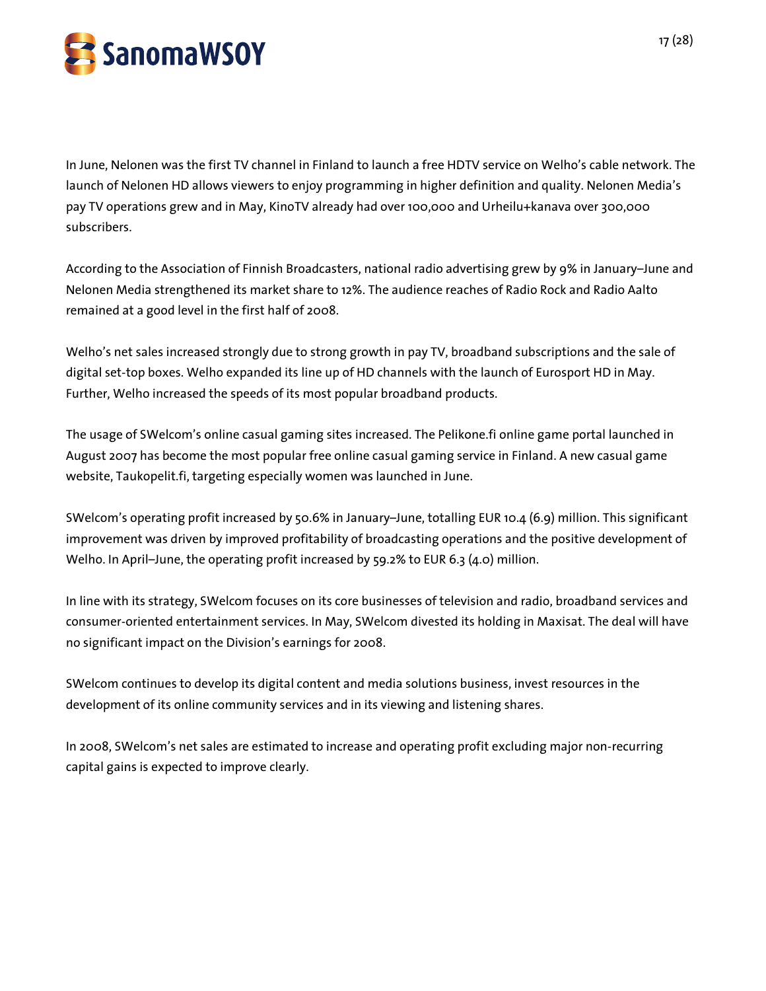

In June, Nelonen was the first TV channel in Finland to launch a free HDTV service on Welho's cable network. The launch of Nelonen HD allows viewers to enjoy programming in higher definition and quality. Nelonen Media's pay TV operations grew and in May, KinoTV already had over 100,000 and Urheilu+kanava over 300,000 subscribers.

According to the Association of Finnish Broadcasters, national radio advertising grew by 9% in January–June and Nelonen Media strengthened its market share to 12%. The audience reaches of Radio Rock and Radio Aalto remained at a good level in the first half of 2008.

Welho's net sales increased strongly due to strong growth in pay TV, broadband subscriptions and the sale of digital set-top boxes. Welho expanded its line up of HD channels with the launch of Eurosport HD in May. Further, Welho increased the speeds of its most popular broadband products.

The usage of SWelcom's online casual gaming sites increased. The Pelikone.fi online game portal launched in August 2007 has become the most popular free online casual gaming service in Finland. A new casual game website, Taukopelit.fi, targeting especially women was launched in June.

SWelcom's operating profit increased by 50.6% in January–June, totalling EUR 10.4 (6.9) million. This significant improvement was driven by improved profitability of broadcasting operations and the positive development of Welho. In April–June, the operating profit increased by 59.2% to EUR 6.3 (4.0) million.

In line with its strategy, SWelcom focuses on its core businesses of television and radio, broadband services and consumer-oriented entertainment services. In May, SWelcom divested its holding in Maxisat. The deal will have no significant impact on the Division's earnings for 2008.

SWelcom continues to develop its digital content and media solutions business, invest resources in the development of its online community services and in its viewing and listening shares.

In 2008, SWelcom's net sales are estimated to increase and operating profit excluding major non-recurring capital gains is expected to improve clearly.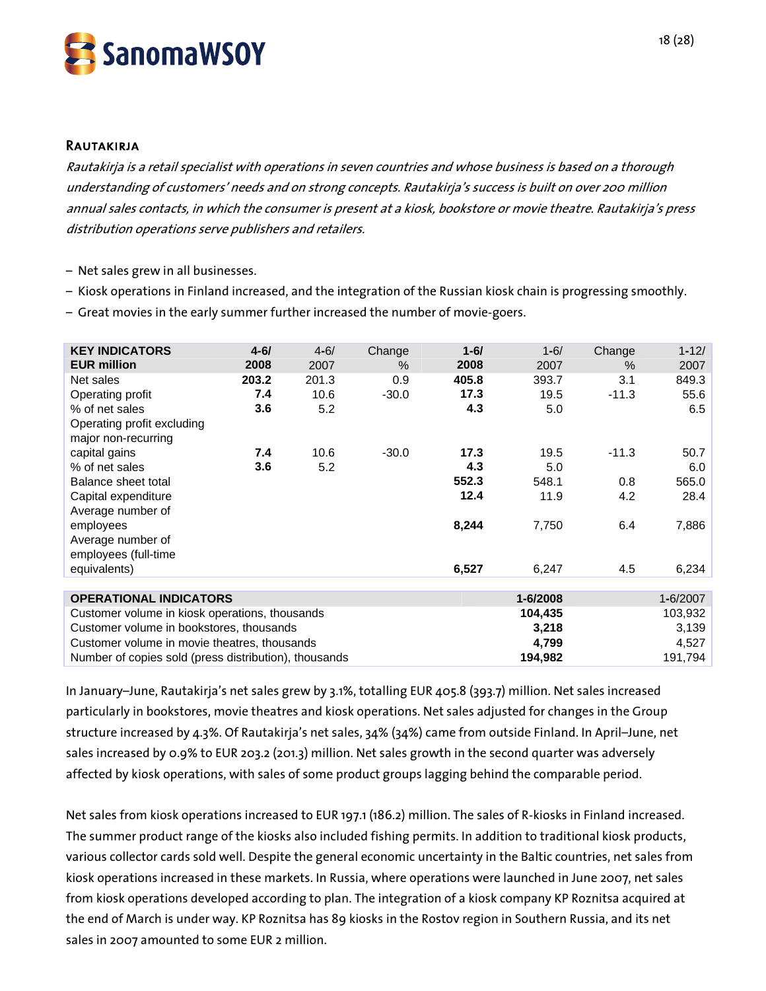

#### **RAUTAKIRJA**

Rautakirja is a retail specialist with operations in seven countries and whose business is based on a thorough understanding of customers' needs and on strong concepts. Rautakirja's success is built on over 200 million annual sales contacts, in which the consumer is present at a kiosk, bookstore or movie theatre. Rautakirja's press distribution operations serve publishers and retailers.

- Net sales grew in all businesses.
- Kiosk operations in Finland increased, and the integration of the Russian kiosk chain is progressing smoothly.
- Great movies in the early summer further increased the number of movie-goers.

| <b>KEY INDICATORS</b>                                 | $4 - 6/$           | $4 - 6/$ | Change  | $1 - 6/$ | $1 - 6/$ | Change  | $1 - 12/$ |
|-------------------------------------------------------|--------------------|----------|---------|----------|----------|---------|-----------|
| <b>EUR million</b>                                    | 2008               | 2007     | $\%$    | 2008     | 2007     | $\%$    | 2007      |
| Net sales                                             | 203.2              | 201.3    | 0.9     | 405.8    | 393.7    | 3.1     | 849.3     |
| Operating profit                                      | 7.4                | 10.6     | $-30.0$ | 17.3     | 19.5     | $-11.3$ | 55.6      |
| % of net sales                                        | 3.6                | 5.2      |         | 4.3      | 5.0      |         | 6.5       |
| Operating profit excluding                            |                    |          |         |          |          |         |           |
| major non-recurring                                   |                    |          |         |          |          |         |           |
| capital gains                                         | 7.4                | 10.6     | $-30.0$ | 17.3     | 19.5     | $-11.3$ | 50.7      |
| % of net sales                                        | 3.6                | 5.2      |         | 4.3      | 5.0      |         | 6.0       |
| Balance sheet total                                   |                    |          |         | 552.3    | 548.1    | 0.8     | 565.0     |
| Capital expenditure                                   |                    |          |         | 12.4     | 11.9     | 4.2     | 28.4      |
| Average number of                                     |                    |          |         |          |          |         |           |
| employees                                             |                    |          |         | 8,244    | 7,750    | 6.4     | 7,886     |
| Average number of                                     |                    |          |         |          |          |         |           |
| employees (full-time                                  |                    |          |         |          |          |         |           |
| equivalents)                                          |                    |          |         | 6,527    | 6,247    | 4.5     | 6,234     |
|                                                       |                    |          |         |          |          |         |           |
| <b>OPERATIONAL INDICATORS</b>                         |                    |          |         |          | 1-6/2008 |         | 1-6/2007  |
| Customer volume in kiosk operations, thousands        |                    |          |         |          | 104,435  |         | 103,932   |
| Customer volume in bookstores, thousands              |                    |          |         |          | 3,218    |         | 3,139     |
| Customer volume in movie theatres, thousands          |                    |          |         |          | 4,799    |         | 4,527     |
| Number of copies sold (press distribution), thousands | 194,982<br>191,794 |          |         |          |          |         |           |

In January–June, Rautakirja's net sales grew by 3.1%, totalling EUR 405.8 (393.7) million. Net sales increased particularly in bookstores, movie theatres and kiosk operations. Net sales adjusted for changes in the Group structure increased by 4.3%. Of Rautakirja's net sales, 34% (34%) came from outside Finland. In April–June, net sales increased by 0.9% to EUR 203.2 (201.3) million. Net sales growth in the second quarter was adversely affected by kiosk operations, with sales of some product groups lagging behind the comparable period.

Net sales from kiosk operations increased to EUR 197.1 (186.2) million. The sales of R-kiosks in Finland increased. The summer product range of the kiosks also included fishing permits. In addition to traditional kiosk products, various collector cards sold well. Despite the general economic uncertainty in the Baltic countries, net sales from kiosk operations increased in these markets. In Russia, where operations were launched in June 2007, net sales from kiosk operations developed according to plan. The integration of a kiosk company KP Roznitsa acquired at the end of March is under way. KP Roznitsa has 89 kiosks in the Rostov region in Southern Russia, and its net sales in 2007 amounted to some EUR 2 million.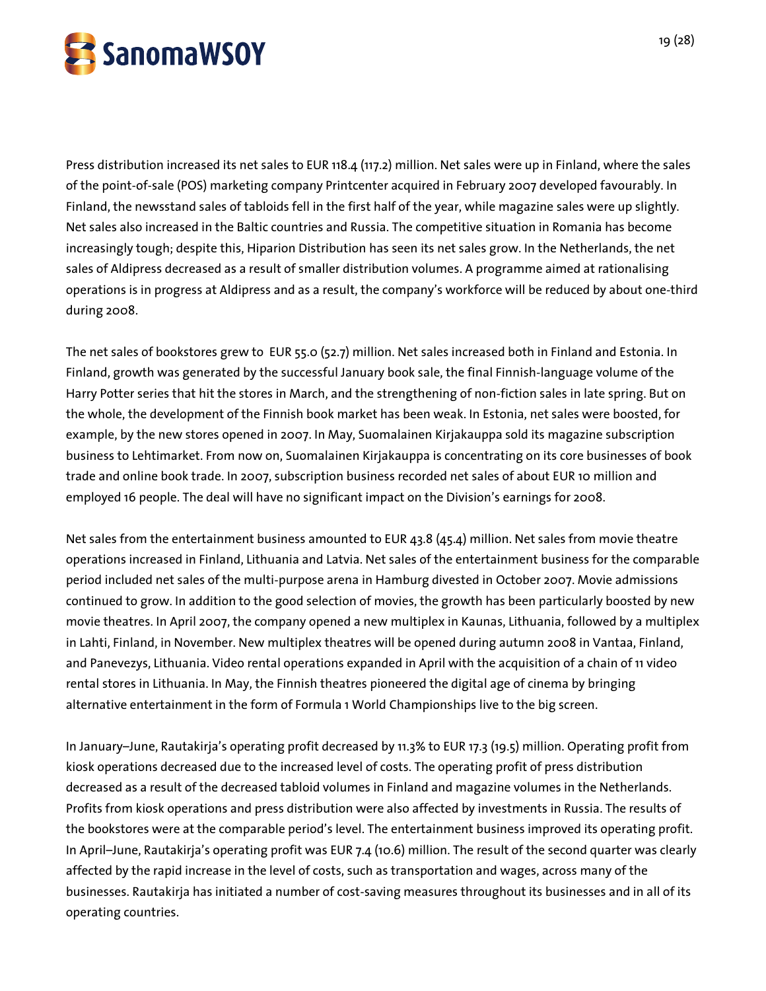

Press distribution increased its net sales to EUR 118.4 (117.2) million. Net sales were up in Finland, where the sales of the point-of-sale (POS) marketing company Printcenter acquired in February 2007 developed favourably. In Finland, the newsstand sales of tabloids fell in the first half of the year, while magazine sales were up slightly. Net sales also increased in the Baltic countries and Russia. The competitive situation in Romania has become increasingly tough; despite this, Hiparion Distribution has seen its net sales grow. In the Netherlands, the net sales of Aldipress decreased as a result of smaller distribution volumes. A programme aimed at rationalising operations is in progress at Aldipress and as a result, the company's workforce will be reduced by about one-third during 2008.

The net sales of bookstores grew to EUR 55.0 (52.7) million. Net sales increased both in Finland and Estonia. In Finland, growth was generated by the successful January book sale, the final Finnish-language volume of the Harry Potter series that hit the stores in March, and the strengthening of non-fiction sales in late spring. But on the whole, the development of the Finnish book market has been weak. In Estonia, net sales were boosted, for example, by the new stores opened in 2007. In May, Suomalainen Kirjakauppa sold its magazine subscription business to Lehtimarket. From now on, Suomalainen Kirjakauppa is concentrating on its core businesses of book trade and online book trade. In 2007, subscription business recorded net sales of about EUR 10 million and employed 16 people. The deal will have no significant impact on the Division's earnings for 2008.

Net sales from the entertainment business amounted to EUR 43.8 (45.4) million. Net sales from movie theatre operations increased in Finland, Lithuania and Latvia. Net sales of the entertainment business for the comparable period included net sales of the multi-purpose arena in Hamburg divested in October 2007. Movie admissions continued to grow. In addition to the good selection of movies, the growth has been particularly boosted by new movie theatres. In April 2007, the company opened a new multiplex in Kaunas, Lithuania, followed by a multiplex in Lahti, Finland, in November. New multiplex theatres will be opened during autumn 2008 in Vantaa, Finland, and Panevezys, Lithuania. Video rental operations expanded in April with the acquisition of a chain of 11 video rental stores in Lithuania. In May, the Finnish theatres pioneered the digital age of cinema by bringing alternative entertainment in the form of Formula 1 World Championships live to the big screen.

In January–June, Rautakirja's operating profit decreased by 11.3% to EUR 17.3 (19.5) million. Operating profit from kiosk operations decreased due to the increased level of costs. The operating profit of press distribution decreased as a result of the decreased tabloid volumes in Finland and magazine volumes in the Netherlands. Profits from kiosk operations and press distribution were also affected by investments in Russia. The results of the bookstores were at the comparable period's level. The entertainment business improved its operating profit. In April–June, Rautakirja's operating profit was EUR 7.4 (10.6) million. The result of the second quarter was clearly affected by the rapid increase in the level of costs, such as transportation and wages, across many of the businesses. Rautakirja has initiated a number of cost-saving measures throughout its businesses and in all of its operating countries.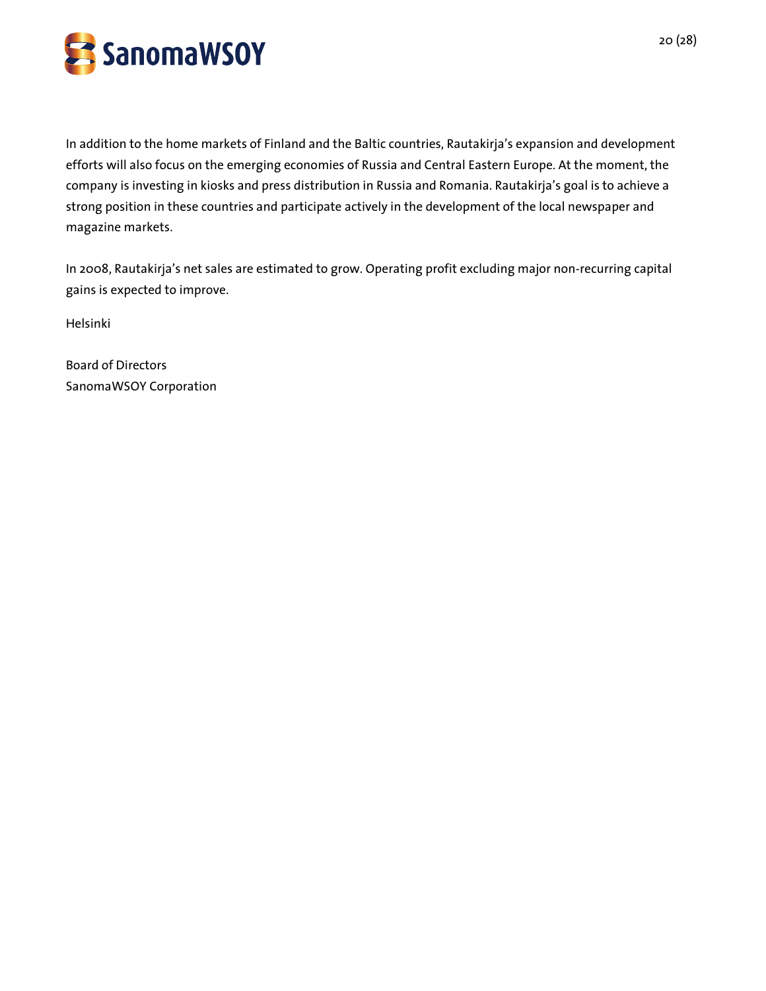

In addition to the home markets of Finland and the Baltic countries, Rautakirja's expansion and development efforts will also focus on the emerging economies of Russia and Central Eastern Europe. At the moment, the company is investing in kiosks and press distribution in Russia and Romania. Rautakirja's goal is to achieve a strong position in these countries and participate actively in the development of the local newspaper and magazine markets.

In 2008, Rautakirja's net sales are estimated to grow. Operating profit excluding major non-recurring capital gains is expected to improve.

Helsinki

Board of Directors SanomaWSOY Corporation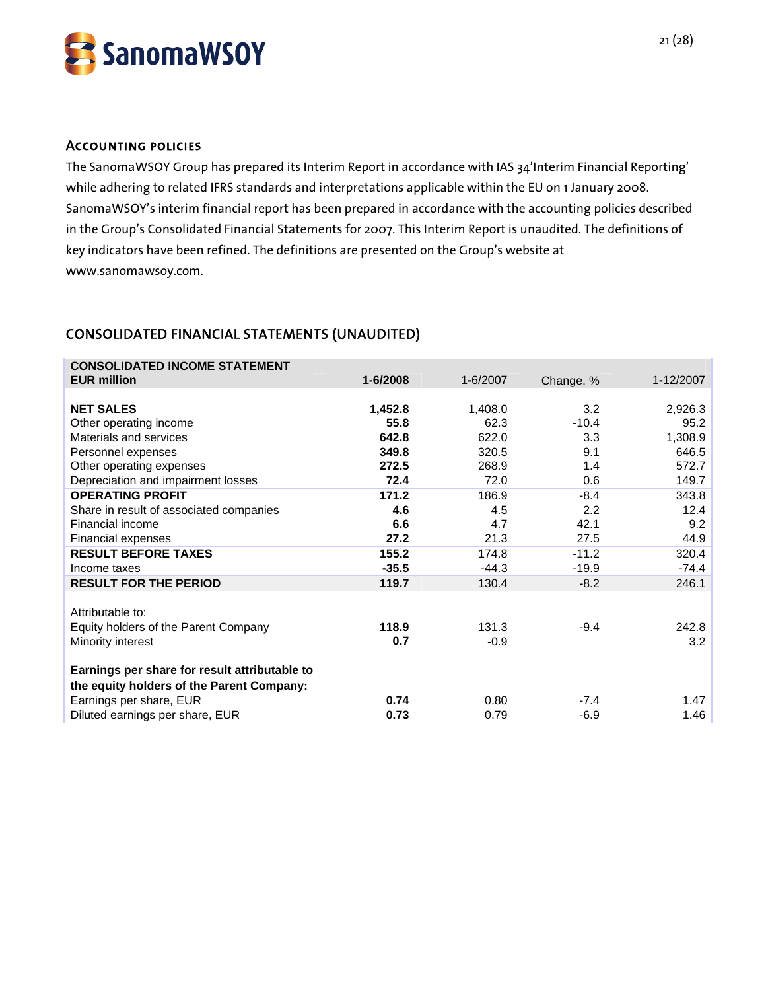

#### Accounting policies

The SanomaWSOY Group has prepared its Interim Report in accordance with IAS 34'Interim Financial Reporting' while adhering to related IFRS standards and interpretations applicable within the EU on 1 January 2008. SanomaWSOY's interim financial report has been prepared in accordance with the accounting policies described in the Group's Consolidated Financial Statements for 2007. This Interim Report is unaudited. The definitions of key indicators have been refined. The definitions are presented on the Group's website at www.sanomawsoy.com.

# CONSOLIDATED FINANCIAL STATEMENTS (UNAUDITED)

| <b>CONSOLIDATED INCOME STATEMENT</b><br><b>EUR million</b>                                 | 1-6/2008 | 1-6/2007 | Change, % | 1-12/2007 |
|--------------------------------------------------------------------------------------------|----------|----------|-----------|-----------|
|                                                                                            |          |          |           |           |
| <b>NET SALES</b>                                                                           | 1,452.8  | 1,408.0  | 3.2       | 2,926.3   |
| Other operating income                                                                     | 55.8     | 62.3     | $-10.4$   | 95.2      |
| Materials and services                                                                     | 642.8    | 622.0    | 3.3       | 1,308.9   |
| Personnel expenses                                                                         | 349.8    | 320.5    | 9.1       | 646.5     |
| Other operating expenses                                                                   | 272.5    | 268.9    | 1.4       | 572.7     |
| Depreciation and impairment losses                                                         | 72.4     | 72.0     | 0.6       | 149.7     |
| <b>OPERATING PROFIT</b>                                                                    | 171.2    | 186.9    | $-8.4$    | 343.8     |
| Share in result of associated companies                                                    | 4.6      | 4.5      | 2.2       | 12.4      |
| Financial income                                                                           | 6.6      | 4.7      | 42.1      | 9.2       |
| Financial expenses                                                                         | 27.2     | 21.3     | 27.5      | 44.9      |
| <b>RESULT BEFORE TAXES</b>                                                                 | 155.2    | 174.8    | $-11.2$   | 320.4     |
| Income taxes                                                                               | $-35.5$  | $-44.3$  | $-19.9$   | $-74.4$   |
| <b>RESULT FOR THE PERIOD</b>                                                               | 119.7    | 130.4    | $-8.2$    | 246.1     |
| Attributable to:                                                                           |          |          |           |           |
| Equity holders of the Parent Company                                                       | 118.9    | 131.3    | $-9.4$    | 242.8     |
| Minority interest                                                                          | 0.7      | $-0.9$   |           | 3.2       |
| Earnings per share for result attributable to<br>the equity holders of the Parent Company: |          |          |           |           |
| Earnings per share, EUR                                                                    | 0.74     | 0.80     | $-7.4$    | 1.47      |
| Diluted earnings per share, EUR                                                            | 0.73     | 0.79     | $-6.9$    | 1.46      |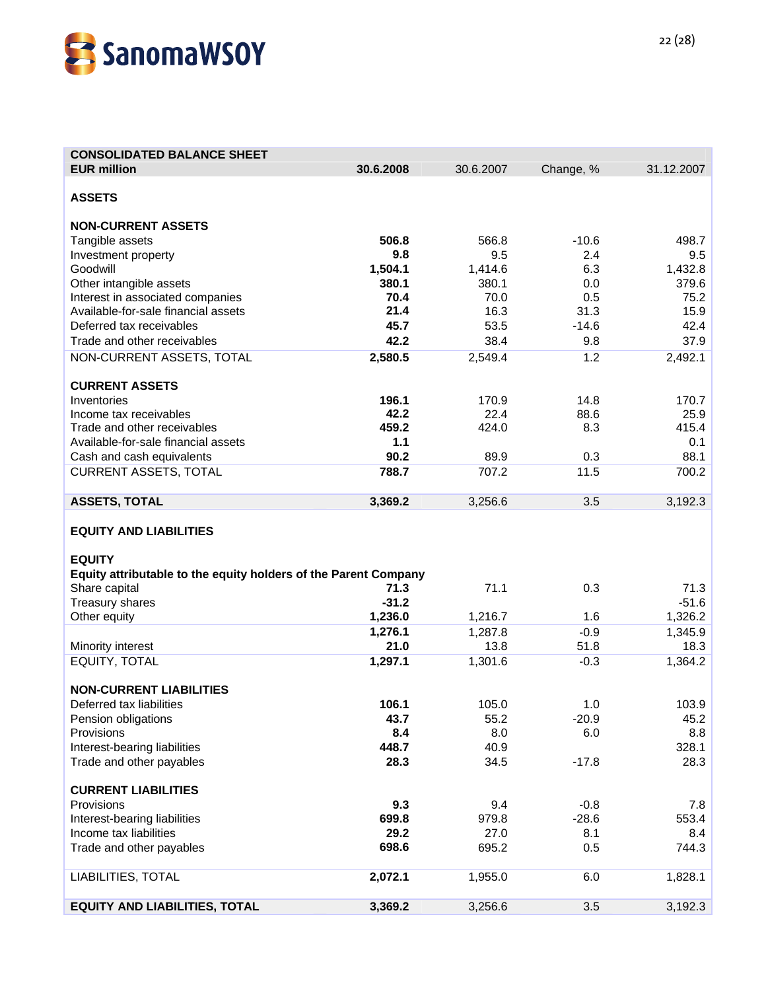

| <b>CONSOLIDATED BALANCE SHEET</b>                               |           |           |           |            |
|-----------------------------------------------------------------|-----------|-----------|-----------|------------|
| <b>EUR million</b>                                              | 30.6.2008 | 30.6.2007 | Change, % | 31.12.2007 |
|                                                                 |           |           |           |            |
| <b>ASSETS</b>                                                   |           |           |           |            |
|                                                                 |           |           |           |            |
| <b>NON-CURRENT ASSETS</b>                                       |           |           |           |            |
| Tangible assets                                                 | 506.8     | 566.8     | $-10.6$   | 498.7      |
| Investment property                                             | 9.8       | 9.5       | 2.4       | 9.5        |
| Goodwill                                                        | 1,504.1   | 1,414.6   | 6.3       | 1,432.8    |
| Other intangible assets                                         | 380.1     | 380.1     | 0.0       | 379.6      |
| Interest in associated companies                                | 70.4      | 70.0      | 0.5       | 75.2       |
| Available-for-sale financial assets                             | 21.4      | 16.3      | 31.3      | 15.9       |
| Deferred tax receivables                                        | 45.7      | 53.5      | $-14.6$   | 42.4       |
| Trade and other receivables                                     | 42.2      | 38.4      | 9.8       | 37.9       |
| NON-CURRENT ASSETS, TOTAL                                       | 2,580.5   | 2,549.4   | 1.2       | 2,492.1    |
|                                                                 |           |           |           |            |
| <b>CURRENT ASSETS</b>                                           |           |           |           |            |
| Inventories                                                     | 196.1     | 170.9     | 14.8      | 170.7      |
| Income tax receivables                                          | 42.2      | 22.4      | 88.6      | 25.9       |
| Trade and other receivables                                     | 459.2     | 424.0     | 8.3       | 415.4      |
| Available-for-sale financial assets                             | 1.1       |           |           | 0.1        |
| Cash and cash equivalents                                       | 90.2      | 89.9      | 0.3       | 88.1       |
| <b>CURRENT ASSETS, TOTAL</b>                                    | 788.7     | 707.2     | 11.5      | 700.2      |
|                                                                 |           |           |           |            |
| <b>ASSETS, TOTAL</b>                                            | 3,369.2   | 3,256.6   | 3.5       | 3,192.3    |
|                                                                 |           |           |           |            |
| <b>EQUITY AND LIABILITIES</b>                                   |           |           |           |            |
|                                                                 |           |           |           |            |
| <b>EQUITY</b>                                                   |           |           |           |            |
|                                                                 |           |           |           |            |
| Equity attributable to the equity holders of the Parent Company | 71.3      | 71.1      |           | 71.3       |
| Share capital                                                   | $-31.2$   |           | 0.3       | $-51.6$    |
| Treasury shares                                                 |           |           |           |            |
| Other equity                                                    | 1,236.0   | 1,216.7   | 1.6       | 1,326.2    |
|                                                                 | 1,276.1   | 1,287.8   | $-0.9$    | 1,345.9    |
| Minority interest                                               | 21.0      | 13.8      | 51.8      | 18.3       |
| EQUITY, TOTAL                                                   | 1,297.1   | 1,301.6   | $-0.3$    | 1,364.2    |
|                                                                 |           |           |           |            |
| <b>NON-CURRENT LIABILITIES</b>                                  |           |           |           |            |
| Deferred tax liabilities                                        | 106.1     | 105.0     | 1.0       | 103.9      |
| Pension obligations                                             | 43.7      | 55.2      | $-20.9$   | 45.2       |
| Provisions                                                      | 8.4       | 8.0       | 6.0       | 8.8        |
| Interest-bearing liabilities                                    | 448.7     | 40.9      |           | 328.1      |
| Trade and other payables                                        | 28.3      | 34.5      | $-17.8$   | 28.3       |
|                                                                 |           |           |           |            |
| <b>CURRENT LIABILITIES</b>                                      |           |           |           |            |
| Provisions                                                      | 9.3       | 9.4       | $-0.8$    | 7.8        |
| Interest-bearing liabilities                                    | 699.8     | 979.8     | $-28.6$   | 553.4      |
| Income tax liabilities                                          | 29.2      | 27.0      | 8.1       | 8.4        |
| Trade and other payables                                        | 698.6     | 695.2     | 0.5       | 744.3      |
|                                                                 |           |           |           |            |
| LIABILITIES, TOTAL                                              | 2,072.1   | 1,955.0   | 6.0       | 1,828.1    |
|                                                                 |           |           |           |            |
| <b>EQUITY AND LIABILITIES, TOTAL</b>                            | 3,369.2   | 3,256.6   | 3.5       | 3,192.3    |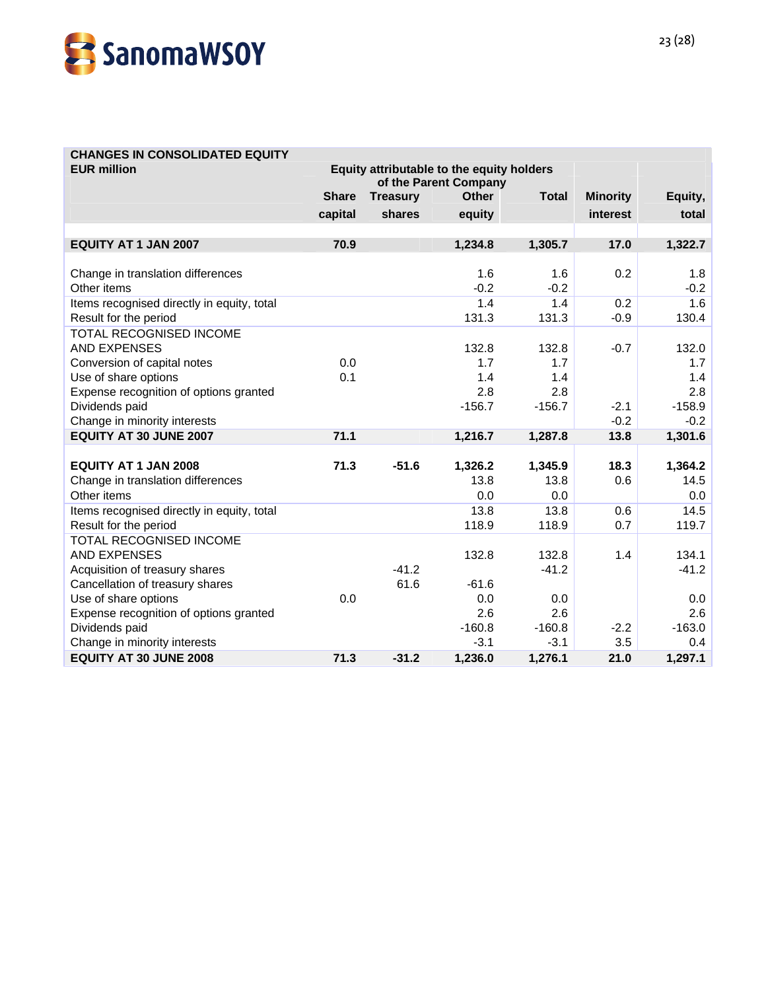

# **CHANGES IN CONSOLIDATED EQUITY**

| <b>EUR million</b>                         |              | Equity attributable to the equity holders<br>of the Parent Company |              |              |                 |          |
|--------------------------------------------|--------------|--------------------------------------------------------------------|--------------|--------------|-----------------|----------|
|                                            | <b>Share</b> | <b>Treasury</b>                                                    | <b>Other</b> | <b>Total</b> | <b>Minority</b> | Equity,  |
|                                            | capital      | shares                                                             | equity       |              | interest        | total    |
|                                            |              |                                                                    |              |              |                 |          |
| <b>EQUITY AT 1 JAN 2007</b>                | 70.9         |                                                                    | 1,234.8      | 1,305.7      | 17.0            | 1,322.7  |
| Change in translation differences          |              |                                                                    | 1.6          | 1.6          | 0.2             | 1.8      |
| Other items                                |              |                                                                    | $-0.2$       | $-0.2$       |                 | $-0.2$   |
| Items recognised directly in equity, total |              |                                                                    | 1.4          | 1.4          | 0.2             | 1.6      |
| Result for the period                      |              |                                                                    | 131.3        | 131.3        | $-0.9$          | 130.4    |
| TOTAL RECOGNISED INCOME                    |              |                                                                    |              |              |                 |          |
| <b>AND EXPENSES</b>                        |              |                                                                    | 132.8        | 132.8        | $-0.7$          | 132.0    |
| Conversion of capital notes                | 0.0          |                                                                    | 1.7          | 1.7          |                 | 1.7      |
| Use of share options                       | 0.1          |                                                                    | 1.4          | 1.4          |                 | 1.4      |
| Expense recognition of options granted     |              |                                                                    | 2.8          | 2.8          |                 | 2.8      |
| Dividends paid                             |              |                                                                    | $-156.7$     | $-156.7$     | $-2.1$          | $-158.9$ |
| Change in minority interests               |              |                                                                    |              |              | $-0.2$          | $-0.2$   |
| EQUITY AT 30 JUNE 2007                     | 71.1         |                                                                    | 1,216.7      | 1,287.8      | 13.8            | 1,301.6  |
|                                            |              |                                                                    |              |              |                 |          |
| <b>EQUITY AT 1 JAN 2008</b>                | 71.3         | $-51.6$                                                            | 1,326.2      | 1,345.9      | 18.3            | 1,364.2  |
| Change in translation differences          |              |                                                                    | 13.8         | 13.8         | 0.6             | 14.5     |
| Other items                                |              |                                                                    | 0.0          | 0.0          |                 | 0.0      |
| Items recognised directly in equity, total |              |                                                                    | 13.8         | 13.8         | 0.6             | 14.5     |
| Result for the period                      |              |                                                                    | 118.9        | 118.9        | 0.7             | 119.7    |
| <b>TOTAL RECOGNISED INCOME</b>             |              |                                                                    |              |              |                 |          |
| <b>AND EXPENSES</b>                        |              |                                                                    | 132.8        | 132.8        | 1.4             | 134.1    |
| Acquisition of treasury shares             |              | $-41.2$                                                            |              | $-41.2$      |                 | $-41.2$  |
| Cancellation of treasury shares            |              | 61.6                                                               | $-61.6$      |              |                 |          |
| Use of share options                       | 0.0          |                                                                    | 0.0          | 0.0          |                 | 0.0      |
| Expense recognition of options granted     |              |                                                                    | 2.6          | 2.6          |                 | 2.6      |
| Dividends paid                             |              |                                                                    | $-160.8$     | $-160.8$     | $-2.2$          | $-163.0$ |
| Change in minority interests               |              |                                                                    | $-3.1$       | $-3.1$       | 3.5             | 0.4      |
| <b>EQUITY AT 30 JUNE 2008</b>              | 71.3         | $-31.2$                                                            | 1,236.0      | 1,276.1      | 21.0            | 1,297.1  |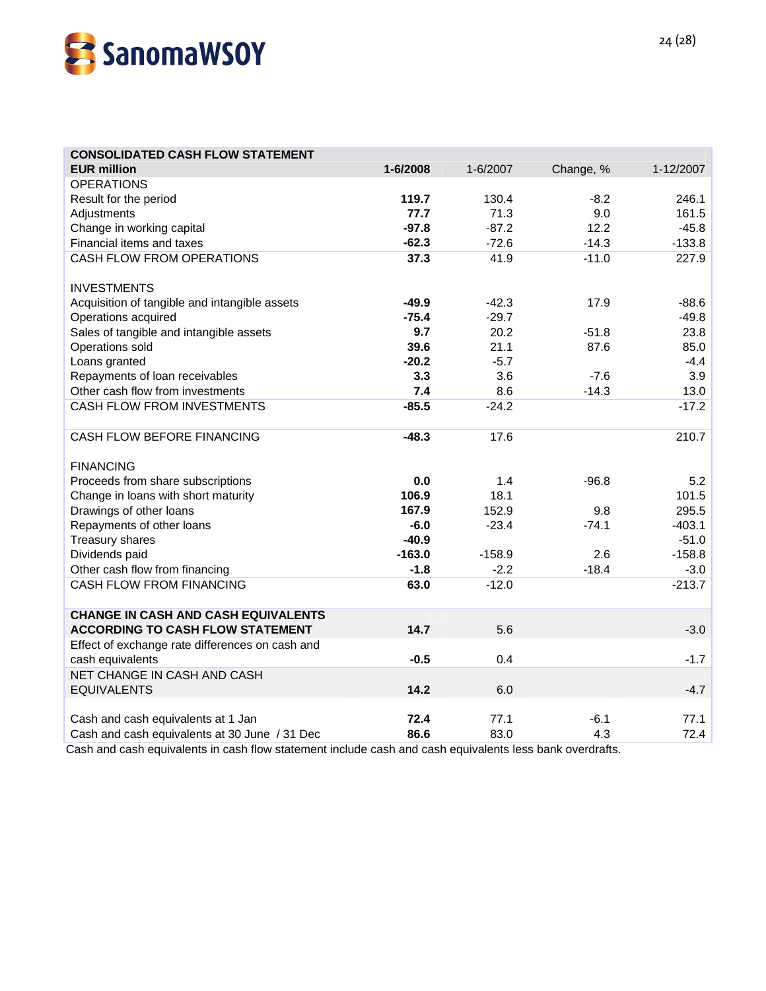

| <b>CONSOLIDATED CASH FLOW STATEMENT</b>         |          |          |           |           |
|-------------------------------------------------|----------|----------|-----------|-----------|
| <b>EUR million</b>                              | 1-6/2008 | 1-6/2007 | Change, % | 1-12/2007 |
| <b>OPERATIONS</b>                               |          |          |           |           |
| Result for the period                           | 119.7    | 130.4    | $-8.2$    | 246.1     |
| Adjustments                                     | 77.7     | 71.3     | 9.0       | 161.5     |
| Change in working capital                       | $-97.8$  | $-87.2$  | 12.2      | $-45.8$   |
| Financial items and taxes                       | $-62.3$  | $-72.6$  | $-14.3$   | $-133.8$  |
| <b>CASH FLOW FROM OPERATIONS</b>                | 37.3     | 41.9     | $-11.0$   | 227.9     |
|                                                 |          |          |           |           |
| <b>INVESTMENTS</b>                              |          |          |           |           |
| Acquisition of tangible and intangible assets   | $-49.9$  | $-42.3$  | 17.9      | $-88.6$   |
| Operations acquired                             | $-75.4$  | $-29.7$  |           | $-49.8$   |
| Sales of tangible and intangible assets         | 9.7      | 20.2     | $-51.8$   | 23.8      |
| Operations sold                                 | 39.6     | 21.1     | 87.6      | 85.0      |
| Loans granted                                   | $-20.2$  | $-5.7$   |           | $-4.4$    |
| Repayments of loan receivables                  | 3.3      | 3.6      | -7.6      | 3.9       |
| Other cash flow from investments                | 7.4      | 8.6      | $-14.3$   | 13.0      |
| CASH FLOW FROM INVESTMENTS                      | $-85.5$  | $-24.2$  |           | $-17.2$   |
| CASH FLOW BEFORE FINANCING                      | $-48.3$  | 17.6     |           | 210.7     |
| <b>FINANCING</b>                                |          |          |           |           |
| Proceeds from share subscriptions               | 0.0      | 1.4      | $-96.8$   | 5.2       |
| Change in loans with short maturity             | 106.9    | 18.1     |           | 101.5     |
| Drawings of other loans                         | 167.9    | 152.9    | 9.8       | 295.5     |
| Repayments of other loans                       | $-6.0$   | $-23.4$  | $-74.1$   | $-403.1$  |
| <b>Treasury shares</b>                          | $-40.9$  |          |           | $-51.0$   |
| Dividends paid                                  | $-163.0$ | $-158.9$ | 2.6       | $-158.8$  |
| Other cash flow from financing                  | $-1.8$   | $-2.2$   | $-18.4$   | $-3.0$    |
| <b>CASH FLOW FROM FINANCING</b>                 | 63.0     | $-12.0$  |           | $-213.7$  |
| <b>CHANGE IN CASH AND CASH EQUIVALENTS</b>      |          |          |           |           |
| <b>ACCORDING TO CASH FLOW STATEMENT</b>         | 14.7     | 5.6      |           | $-3.0$    |
| Effect of exchange rate differences on cash and |          |          |           |           |
| cash equivalents                                | $-0.5$   | 0.4      |           | $-1.7$    |
| NET CHANGE IN CASH AND CASH                     |          |          |           |           |
| <b>EQUIVALENTS</b>                              | 14.2     | 6.0      |           | $-4.7$    |
|                                                 |          |          |           |           |
| Cash and cash equivalents at 1 Jan              | 72.4     | 77.1     | $-6.1$    | 77.1      |
| Cash and cash equivalents at 30 June / 31 Dec   | 86.6     | 83.0     | 4.3       | 72.4      |

Cash and cash equivalents in cash flow statement include cash and cash equivalents less bank overdrafts.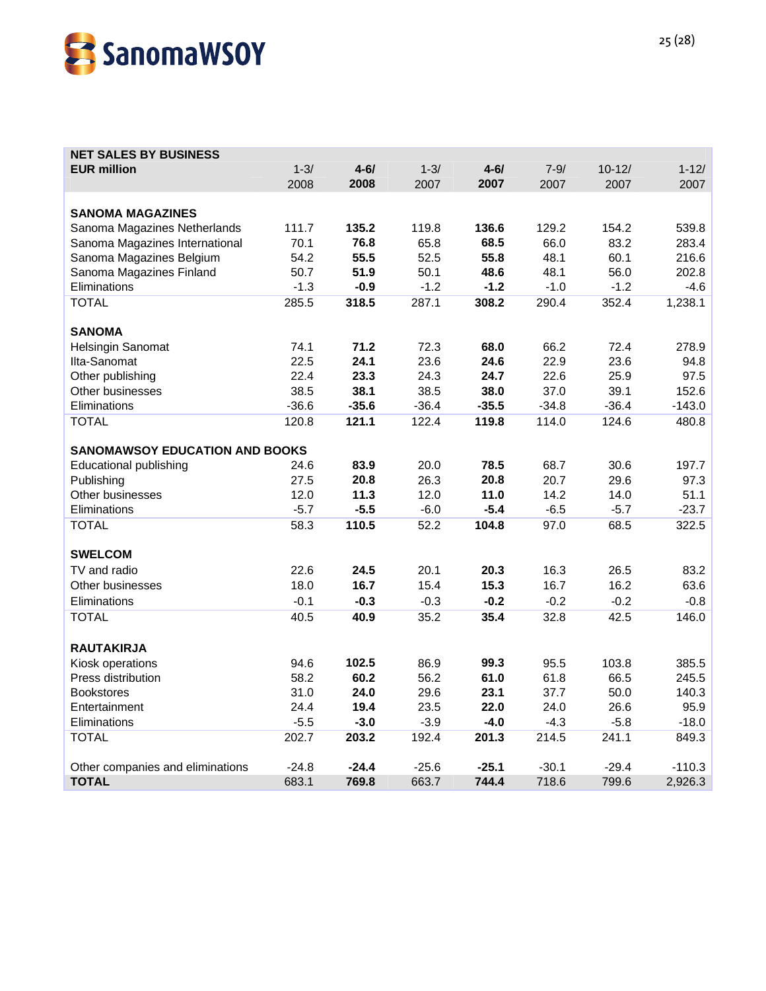

# **NET SALES BY BUSINESS EUR million** 1-3/ **4-6/** 1-3/ **4-6/** 7-9/ 10-12/ 1-12/ 2008 **2008** 2007 **2007** 2007 2007 2007 **SANOMA MAGAZINES**  Sanoma Magazines Netherlands 111.7 **135.2** 119.8 **136.6** 129.2 154.2 539.8 Sanoma Magazines International 70.1 **76.8** 65.8 **68.5** 66.0 83.2 283.4 Sanoma Magazines Belgium 54.2 **55.5** 52.5 **55.8** 48.1 60.1 216.6 Sanoma Magazines Finland 50.7 **51.9** 50.1 **48.6** 48.1 56.0 202.8 Eliminations -1.3 **-0.9** -1.2 **-1.2** -1.0 -1.2 -4.6 TOTAL 285.5 **318.5** 287.1 **308.2** 290.4 352.4 1,238.1 **SANOMA**  Helsingin Sanomat 74.1 **71.2** 72.3 **68.0** 66.2 72.4 278.9 Ilta-Sanomat 22.5 **24.1** 23.6 **24.6** 22.9 23.6 94.8 Other publishing 22.4 **23.3** 24.3 **24.7** 22.6 25.9 97.5 Other businesses 38.5 **38.1** 38.5 **38.0** 37.0 39.1 152.6 Eliminations -36.6 **-35.6** -36.4 **-35.5** -34.8 -36.4 -143.0 TOTAL 120.8 **121.1** 122.4 **119.8** 114.0 124.6 480.8 **SANOMAWSOY EDUCATION AND BOOKS** Educational publishing 24.6 **83.9** 20.0 **78.5** 68.7 30.6 197.7 Publishing 27.5 **20.8** 26.3 **20.8** 20.7 29.6 97.3 Other businesses 12.0 **11.3** 12.0 **11.0** 14.2 14.0 51.1 Eliminations -5.7 **-5.5** -6.0 **-5.4** -6.5 -5.7 -23.7 TOTAL 58.3 **110.5** 52.2 **104.8** 97.0 68.5 322.5 **SWELCOM**  TV and radio 22.6 **24.5** 20.1 **20.3** 16.3 26.5 83.2 Other businesses 18.0 **16.7** 15.4 **15.3** 16.7 16.2 63.6 Eliminations -0.1 **-0.3** -0.3 **-0.2** -0.2 -0.2 -0.8 TOTAL 40.5 **40.9** 35.2 **35.4** 32.8 42.5 146.0 **RAUTAKIRJA**  Kiosk operations 94.6 **102.5** 86.9 **99.3** 95.5 103.8 385.5 Press distribution 58.2 **60.2** 56.2 **61.0** 61.8 66.5 245.5 Bookstores 31.0 **24.0** 29.6 **23.1** 37.7 50.0 140.3 Entertainment 24.4 **19.4** 23.5 **22.0** 24.0 26.6 95.9 Eliminations -5.5 **-3.0** -3.9 **-4.0** -4.3 -5.8 -18.0 TOTAL 202.7 **203.2** 192.4 **201.3** 214.5 241.1 849.3 Other companies and eliminations -24.8 **-24.4** -25.6 **-25.1** -30.1 -29.4 -110.3 **TOTAL** 683.1 **769.8** 663.7 **744.4** 718.6 799.6 2,926.3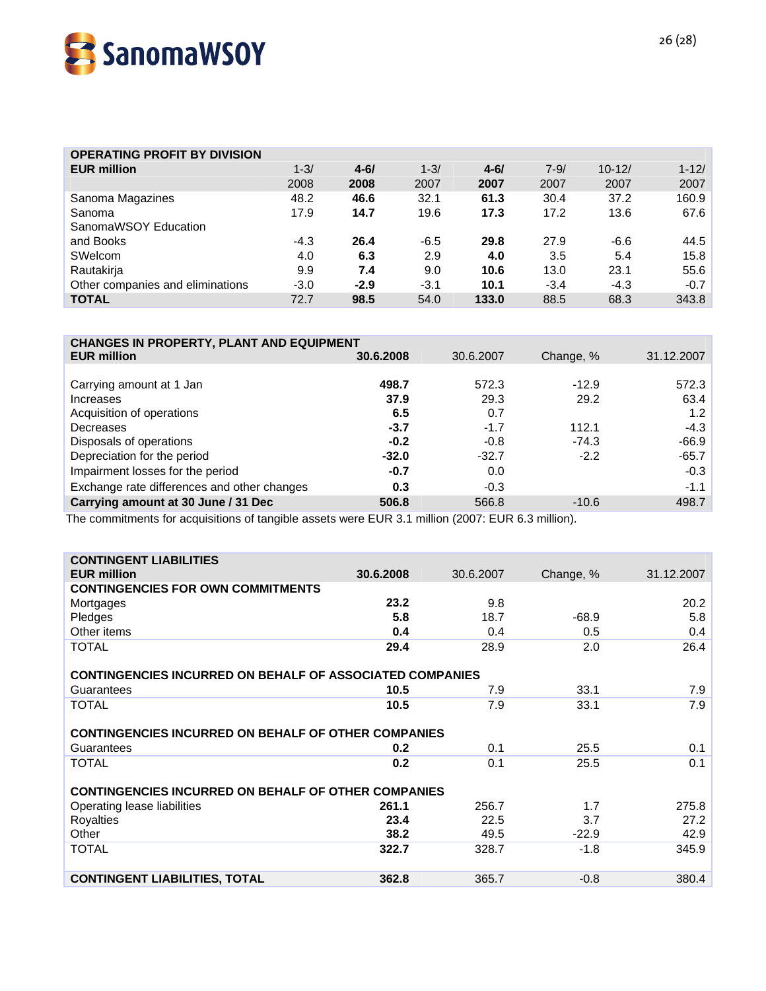

| <b>OPERATING PROFIT BY DIVISION</b> |          |          |          |          |          |            |           |
|-------------------------------------|----------|----------|----------|----------|----------|------------|-----------|
| <b>EUR million</b>                  | $1 - 3/$ | $4 - 6/$ | $1 - 3/$ | $4 - 61$ | $7 - 9/$ | $10 - 12/$ | $1 - 12/$ |
|                                     | 2008     | 2008     | 2007     | 2007     | 2007     | 2007       | 2007      |
| Sanoma Magazines                    | 48.2     | 46.6     | 32.1     | 61.3     | 30.4     | 37.2       | 160.9     |
| Sanoma                              | 17.9     | 14.7     | 19.6     | 17.3     | 17.2     | 13.6       | 67.6      |
| SanomaWSOY Education                |          |          |          |          |          |            |           |
| and Books                           | $-4.3$   | 26.4     | $-6.5$   | 29.8     | 27.9     | $-6.6$     | 44.5      |
| SWelcom                             | 4.0      | 6.3      | 2.9      | 4.0      | 3.5      | 5.4        | 15.8      |
| Rautakirja                          | 9.9      | 7.4      | 9.0      | 10.6     | 13.0     | 23.1       | 55.6      |
| Other companies and eliminations    | $-3.0$   | $-2.9$   | $-3.1$   | 10.1     | $-3.4$   | $-4.3$     | $-0.7$    |
| <b>TOTAL</b>                        | 72.7     | 98.5     | 54.0     | 133.0    | 88.5     | 68.3       | 343.8     |

#### **CHANGES IN PROPERTY, PLANT AND EQUIPMENT**

| ו והוקטבט ווז ו ווטו בולו ו, ו בהוז ו הוס בשטוו ווובוז ו |           |           |           |            |  |  |  |  |  |
|----------------------------------------------------------|-----------|-----------|-----------|------------|--|--|--|--|--|
| <b>EUR million</b>                                       | 30.6.2008 | 30.6.2007 | Change, % | 31.12.2007 |  |  |  |  |  |
|                                                          |           |           |           |            |  |  |  |  |  |
| Carrying amount at 1 Jan                                 | 498.7     | 572.3     | $-12.9$   | 572.3      |  |  |  |  |  |
| Increases                                                | 37.9      | 29.3      | 29.2      | 63.4       |  |  |  |  |  |
| Acquisition of operations                                | 6.5       | 0.7       |           | 1.2        |  |  |  |  |  |
| Decreases                                                | $-3.7$    | $-1.7$    | 112.1     | $-4.3$     |  |  |  |  |  |
| Disposals of operations                                  | $-0.2$    | $-0.8$    | $-74.3$   | $-66.9$    |  |  |  |  |  |
| Depreciation for the period                              | $-32.0$   | $-32.7$   | $-2.2$    | $-65.7$    |  |  |  |  |  |
| Impairment losses for the period                         | $-0.7$    | 0.0       |           | $-0.3$     |  |  |  |  |  |
| Exchange rate differences and other changes              | 0.3       | $-0.3$    |           | $-1.1$     |  |  |  |  |  |
| Carrying amount at 30 June / 31 Dec                      | 506.8     | 566.8     | $-10.6$   | 498.7      |  |  |  |  |  |
|                                                          |           |           |           |            |  |  |  |  |  |

The commitments for acquisitions of tangible assets were EUR 3.1 million (2007: EUR 6.3 million).

| <b>CONTINGENT LIABILITIES</b>                                   |           |           |           |            |  |  |  |  |  |
|-----------------------------------------------------------------|-----------|-----------|-----------|------------|--|--|--|--|--|
| <b>EUR million</b>                                              | 30.6.2008 | 30.6.2007 | Change, % | 31.12.2007 |  |  |  |  |  |
| <b>CONTINGENCIES FOR OWN COMMITMENTS</b>                        |           |           |           |            |  |  |  |  |  |
| Mortgages                                                       | 23.2      | 9.8       |           | 20.2       |  |  |  |  |  |
| Pledges                                                         | 5.8       | 18.7      | $-68.9$   | 5.8        |  |  |  |  |  |
| Other items                                                     | 0.4       | 0.4       | 0.5       | 0.4        |  |  |  |  |  |
| <b>TOTAL</b>                                                    | 29.4      | 28.9      | 2.0       | 26.4       |  |  |  |  |  |
|                                                                 |           |           |           |            |  |  |  |  |  |
| <b>CONTINGENCIES INCURRED ON BEHALF OF ASSOCIATED COMPANIES</b> |           |           |           |            |  |  |  |  |  |
| Guarantees                                                      | 10.5      | 7.9       | 33.1      | 7.9        |  |  |  |  |  |
| <b>TOTAL</b>                                                    | 10.5      | 7.9       | 33.1      | 7.9        |  |  |  |  |  |
|                                                                 |           |           |           |            |  |  |  |  |  |
| <b>CONTINGENCIES INCURRED ON BEHALF OF OTHER COMPANIES</b>      |           |           |           |            |  |  |  |  |  |
| Guarantees                                                      | 0.2       | 0.1       | 25.5      | 0.1        |  |  |  |  |  |
| <b>TOTAL</b>                                                    | 0.2       | 0.1       | 25.5      | 0.1        |  |  |  |  |  |
|                                                                 |           |           |           |            |  |  |  |  |  |
| <b>CONTINGENCIES INCURRED ON BEHALF OF OTHER COMPANIES</b>      |           |           |           |            |  |  |  |  |  |
| Operating lease liabilities                                     | 261.1     | 256.7     | 1.7       | 275.8      |  |  |  |  |  |
| Royalties                                                       | 23.4      | 22.5      | 3.7       | 27.2       |  |  |  |  |  |
| Other                                                           | 38.2      | 49.5      | $-22.9$   | 42.9       |  |  |  |  |  |
| <b>TOTAL</b>                                                    | 322.7     | 328.7     | $-1.8$    | 345.9      |  |  |  |  |  |
|                                                                 |           |           |           |            |  |  |  |  |  |
| <b>CONTINGENT LIABILITIES, TOTAL</b>                            | 362.8     | 365.7     | $-0.8$    | 380.4      |  |  |  |  |  |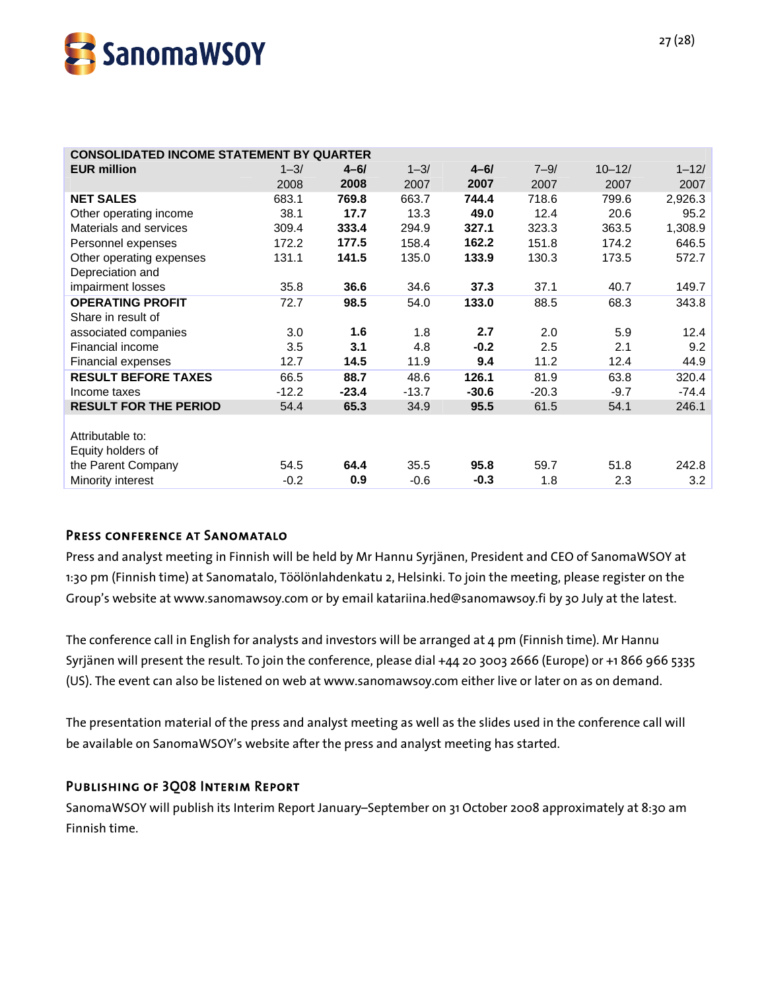

| <b>CONSOLIDATED INCOME STATEMENT BY QUARTER</b> |          |          |          |          |          |            |           |  |
|-------------------------------------------------|----------|----------|----------|----------|----------|------------|-----------|--|
| <b>EUR million</b>                              | $1 - 3/$ | $4 - 6/$ | $1 - 3/$ | $4 - 6/$ | $7 - 9/$ | $10 - 12/$ | $1 - 12/$ |  |
|                                                 | 2008     | 2008     | 2007     | 2007     | 2007     | 2007       | 2007      |  |
| <b>NET SALES</b>                                | 683.1    | 769.8    | 663.7    | 744.4    | 718.6    | 799.6      | 2,926.3   |  |
| Other operating income                          | 38.1     | 17.7     | 13.3     | 49.0     | 12.4     | 20.6       | 95.2      |  |
| Materials and services                          | 309.4    | 333.4    | 294.9    | 327.1    | 323.3    | 363.5      | 1,308.9   |  |
| Personnel expenses                              | 172.2    | 177.5    | 158.4    | 162.2    | 151.8    | 174.2      | 646.5     |  |
| Other operating expenses                        | 131.1    | 141.5    | 135.0    | 133.9    | 130.3    | 173.5      | 572.7     |  |
| Depreciation and                                |          |          |          |          |          |            |           |  |
| impairment losses                               | 35.8     | 36.6     | 34.6     | 37.3     | 37.1     | 40.7       | 149.7     |  |
| <b>OPERATING PROFIT</b>                         | 72.7     | 98.5     | 54.0     | 133.0    | 88.5     | 68.3       | 343.8     |  |
| Share in result of                              |          |          |          |          |          |            |           |  |
| associated companies                            | 3.0      | 1.6      | 1.8      | 2.7      | 2.0      | 5.9        | 12.4      |  |
| Financial income                                | 3.5      | 3.1      | 4.8      | $-0.2$   | 2.5      | 2.1        | 9.2       |  |
| Financial expenses                              | 12.7     | 14.5     | 11.9     | 9.4      | 11.2     | 12.4       | 44.9      |  |
| <b>RESULT BEFORE TAXES</b>                      | 66.5     | 88.7     | 48.6     | 126.1    | 81.9     | 63.8       | 320.4     |  |
| Income taxes                                    | $-12.2$  | $-23.4$  | $-13.7$  | $-30.6$  | $-20.3$  | $-9.7$     | $-74.4$   |  |
| <b>RESULT FOR THE PERIOD</b>                    | 54.4     | 65.3     | 34.9     | 95.5     | 61.5     | 54.1       | 246.1     |  |
|                                                 |          |          |          |          |          |            |           |  |
| Attributable to:                                |          |          |          |          |          |            |           |  |
| Equity holders of                               |          |          |          |          |          |            |           |  |
| the Parent Company                              | 54.5     | 64.4     | 35.5     | 95.8     | 59.7     | 51.8       | 242.8     |  |
| Minority interest                               | $-0.2$   | 0.9      | $-0.6$   | $-0.3$   | 1.8      | 2.3        | 3.2       |  |

# Press conference at Sanomatalo

Press and analyst meeting in Finnish will be held by Mr Hannu Syrjänen, President and CEO of SanomaWSOY at 1:30 pm (Finnish time) at Sanomatalo, Töölönlahdenkatu 2, Helsinki. To join the meeting, please register on the Group's website at www.sanomawsoy.com or by email katariina.hed@sanomawsoy.fi by 30 July at the latest.

The conference call in English for analysts and investors will be arranged at 4 pm (Finnish time). Mr Hannu Syrjänen will present the result. To join the conference, please dial +44 20 3003 2666 (Europe) or +1 866 966 5335 (US). The event can also be listened on web at www.sanomawsoy.com either live or later on as on demand.

The presentation material of the press and analyst meeting as well as the slides used in the conference call will be available on SanomaWSOY's website after the press and analyst meeting has started.

#### Publishing of 3Q08 Interim Report

SanomaWSOY will publish its Interim Report January–September on 31 October 2008 approximately at 8:30 am Finnish time.